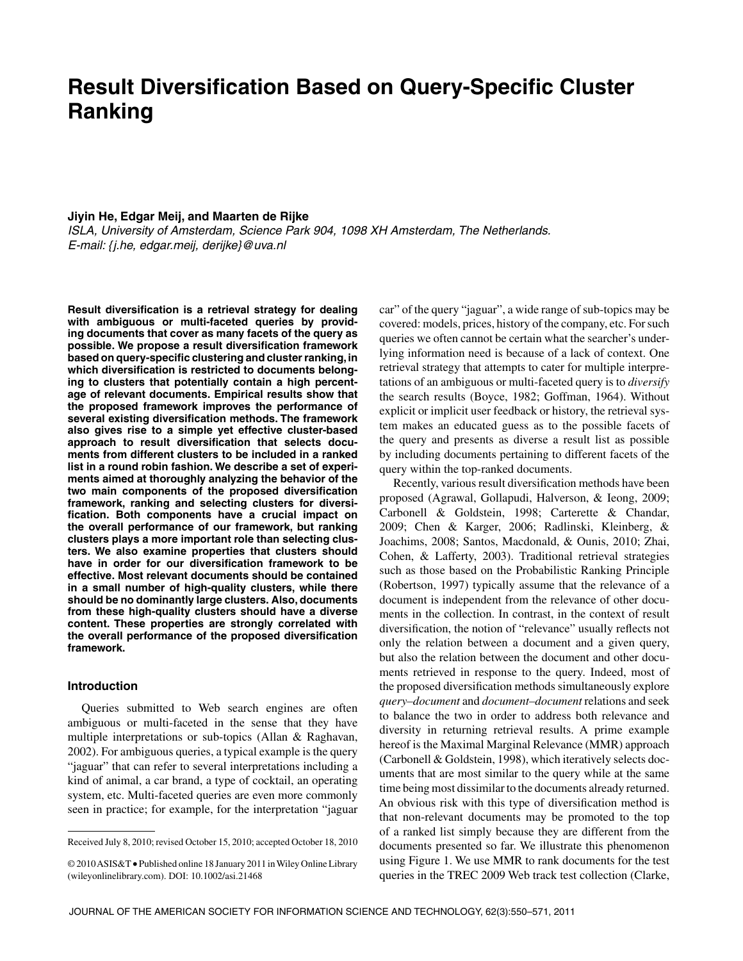# **Result Diversification Based on Query-Specific Cluster Ranking**

# **Jiyin He, Edgar Meij, and Maarten de Rijke**

*ISLA, University of Amsterdam, Science Park 904, 1098 XH Amsterdam, The Netherlands. E-mail: {j.he, edgar.meij, derijke}@uva.nl*

**Result diversification is a retrieval strategy for dealing with ambiguous or multi-faceted queries by providing documents that cover as many facets of the query as possible. We propose a result diversification framework based on query-specific clustering and cluster ranking,in which diversification is restricted to documents belonging to clusters that potentially contain a high percentage of relevant documents. Empirical results show that the proposed framework improves the performance of several existing diversification methods. The framework also gives rise to a simple yet effective cluster-based approach to result diversification that selects documents from different clusters to be included in a ranked list in a round robin fashion. We describe a set of experiments aimed at thoroughly analyzing the behavior of the two main components of the proposed diversification framework, ranking and selecting clusters for diversification. Both components have a crucial impact on the overall performance of our framework, but ranking clusters plays a more important role than selecting clusters. We also examine properties that clusters should have in order for our diversification framework to be effective. Most relevant documents should be contained in a small number of high-quality clusters, while there should be no dominantly large clusters. Also, documents from these high-quality clusters should have a diverse content. These properties are strongly correlated with the overall performance of the proposed diversification framework.**

# **Introduction**

Queries submitted to Web search engines are often ambiguous or multi-faceted in the sense that they have multiple interpretations or sub-topics (Allan & Raghavan, 2002). For ambiguous queries, a typical example is the query "jaguar" that can refer to several interpretations including a kind of animal, a car brand, a type of cocktail, an operating system, etc. Multi-faceted queries are even more commonly seen in practice; for example, for the interpretation "jaguar

car" of the query "jaguar", a wide range of sub-topics may be covered: models, prices, history of the company, etc. For such queries we often cannot be certain what the searcher's underlying information need is because of a lack of context. One retrieval strategy that attempts to cater for multiple interpretations of an ambiguous or multi-faceted query is to *diversify* the search results (Boyce, 1982; Goffman, 1964). Without explicit or implicit user feedback or history, the retrieval system makes an educated guess as to the possible facets of the query and presents as diverse a result list as possible by including documents pertaining to different facets of the query within the top-ranked documents.

Recently, various result diversification methods have been proposed (Agrawal, Gollapudi, Halverson, & Ieong, 2009; Carbonell & Goldstein, 1998; Carterette & Chandar, 2009; Chen & Karger, 2006; Radlinski, Kleinberg, & Joachims, 2008; Santos, Macdonald, & Ounis, 2010; Zhai, Cohen, & Lafferty, 2003). Traditional retrieval strategies such as those based on the Probabilistic Ranking Principle (Robertson, 1997) typically assume that the relevance of a document is independent from the relevance of other documents in the collection. In contrast, in the context of result diversification, the notion of "relevance" usually reflects not only the relation between a document and a given query, but also the relation between the document and other documents retrieved in response to the query. Indeed, most of the proposed diversification methods simultaneously explore *query–document* and *document–document* relations and seek to balance the two in order to address both relevance and diversity in returning retrieval results. A prime example hereof is the Maximal Marginal Relevance (MMR) approach (Carbonell & Goldstein, 1998), which iteratively selects documents that are most similar to the query while at the same time being most dissimilar to the documents already returned. An obvious risk with this type of diversification method is that non-relevant documents may be promoted to the top of a ranked list simply because they are different from the documents presented so far. We illustrate this phenomenon using Figure 1. We use MMR to rank documents for the test queries in the TREC 2009 Web track test collection (Clarke,

Received July 8, 2010; revised October 15, 2010; accepted October 18, 2010

<sup>© 2010</sup>ASIS&T• Published online 18 January 2011 inWiley Online Library (wileyonlinelibrary.com). DOI: 10.1002/asi.21468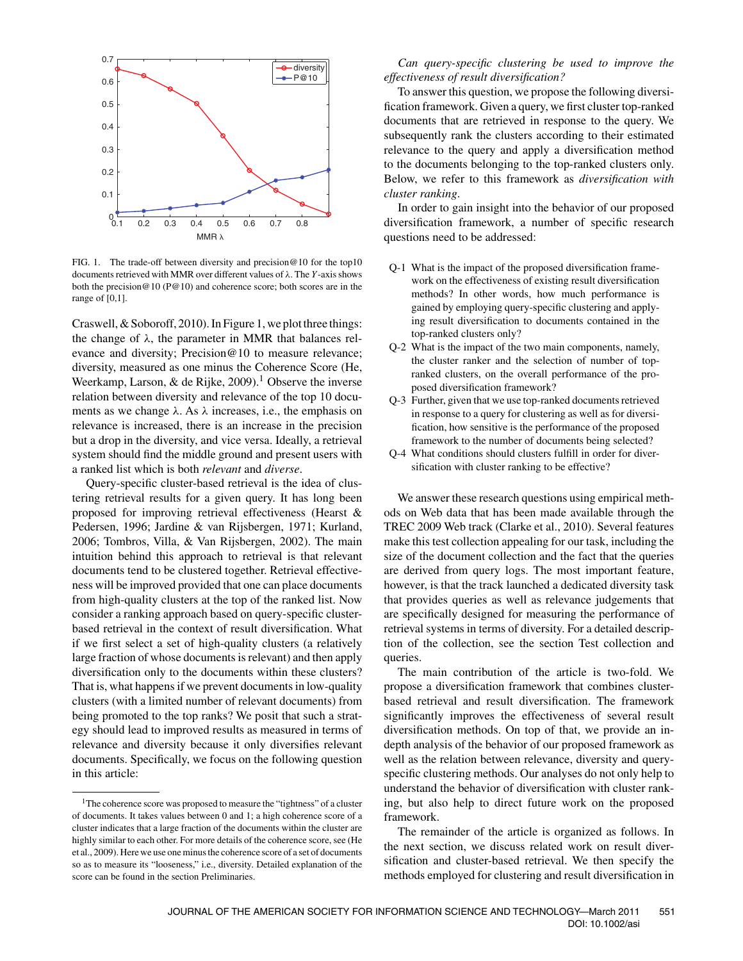

FIG. 1. The trade-off between diversity and precision@10 for the top10 documents retrieved with MMR over different values of *λ*. The *Y*-axis shows both the precision@10 (P@10) and coherence score; both scores are in the range of [0,1].

Craswell, & Soboroff, 2010). In Figure 1, we plot three things: the change of  $\lambda$ , the parameter in MMR that balances relevance and diversity; Precision@10 to measure relevance; diversity, measured as one minus the Coherence Score (He, Weerkamp, Larson, & de Rijke,  $2009$ .<sup>1</sup> Observe the inverse relation between diversity and relevance of the top 10 documents as we change *λ*. As *λ* increases, i.e., the emphasis on relevance is increased, there is an increase in the precision but a drop in the diversity, and vice versa. Ideally, a retrieval system should find the middle ground and present users with a ranked list which is both *relevant* and *diverse*.

Query-specific cluster-based retrieval is the idea of clustering retrieval results for a given query. It has long been proposed for improving retrieval effectiveness (Hearst & Pedersen, 1996; Jardine & van Rijsbergen, 1971; Kurland, 2006; Tombros, Villa, & Van Rijsbergen, 2002). The main intuition behind this approach to retrieval is that relevant documents tend to be clustered together. Retrieval effectiveness will be improved provided that one can place documents from high-quality clusters at the top of the ranked list. Now consider a ranking approach based on query-specific clusterbased retrieval in the context of result diversification. What if we first select a set of high-quality clusters (a relatively large fraction of whose documents is relevant) and then apply diversification only to the documents within these clusters? That is, what happens if we prevent documents in low-quality clusters (with a limited number of relevant documents) from being promoted to the top ranks? We posit that such a strategy should lead to improved results as measured in terms of relevance and diversity because it only diversifies relevant documents. Specifically, we focus on the following question in this article:

*Can query-specific clustering be used to improve the effectiveness of result diversification?*

To answer this question, we propose the following diversification framework. Given a query, we first cluster top-ranked documents that are retrieved in response to the query. We subsequently rank the clusters according to their estimated relevance to the query and apply a diversification method to the documents belonging to the top-ranked clusters only. Below, we refer to this framework as *diversification with cluster ranking*.

In order to gain insight into the behavior of our proposed diversification framework, a number of specific research questions need to be addressed:

- Q-1 What is the impact of the proposed diversification framework on the effectiveness of existing result diversification methods? In other words, how much performance is gained by employing query-specific clustering and applying result diversification to documents contained in the top-ranked clusters only?
- Q-2 What is the impact of the two main components, namely, the cluster ranker and the selection of number of topranked clusters, on the overall performance of the proposed diversification framework?
- Q-3 Further, given that we use top-ranked documents retrieved in response to a query for clustering as well as for diversification, how sensitive is the performance of the proposed framework to the number of documents being selected?
- Q-4 What conditions should clusters fulfill in order for diversification with cluster ranking to be effective?

We answer these research questions using empirical methods on Web data that has been made available through the TREC 2009 Web track (Clarke et al., 2010). Several features make this test collection appealing for our task, including the size of the document collection and the fact that the queries are derived from query logs. The most important feature, however, is that the track launched a dedicated diversity task that provides queries as well as relevance judgements that are specifically designed for measuring the performance of retrieval systems in terms of diversity. For a detailed description of the collection, see the section Test collection and queries.

The main contribution of the article is two-fold. We propose a diversification framework that combines clusterbased retrieval and result diversification. The framework significantly improves the effectiveness of several result diversification methods. On top of that, we provide an indepth analysis of the behavior of our proposed framework as well as the relation between relevance, diversity and queryspecific clustering methods. Our analyses do not only help to understand the behavior of diversification with cluster ranking, but also help to direct future work on the proposed framework.

The remainder of the article is organized as follows. In the next section, we discuss related work on result diversification and cluster-based retrieval. We then specify the methods employed for clustering and result diversification in

<sup>&</sup>lt;sup>1</sup>The coherence score was proposed to measure the "tightness" of a cluster of documents. It takes values between 0 and 1; a high coherence score of a cluster indicates that a large fraction of the documents within the cluster are highly similar to each other. For more details of the coherence score, see (He et al., 2009). Here we use one minus the coherence score of a set of documents so as to measure its "looseness," i.e., diversity. Detailed explanation of the score can be found in the section Preliminaries.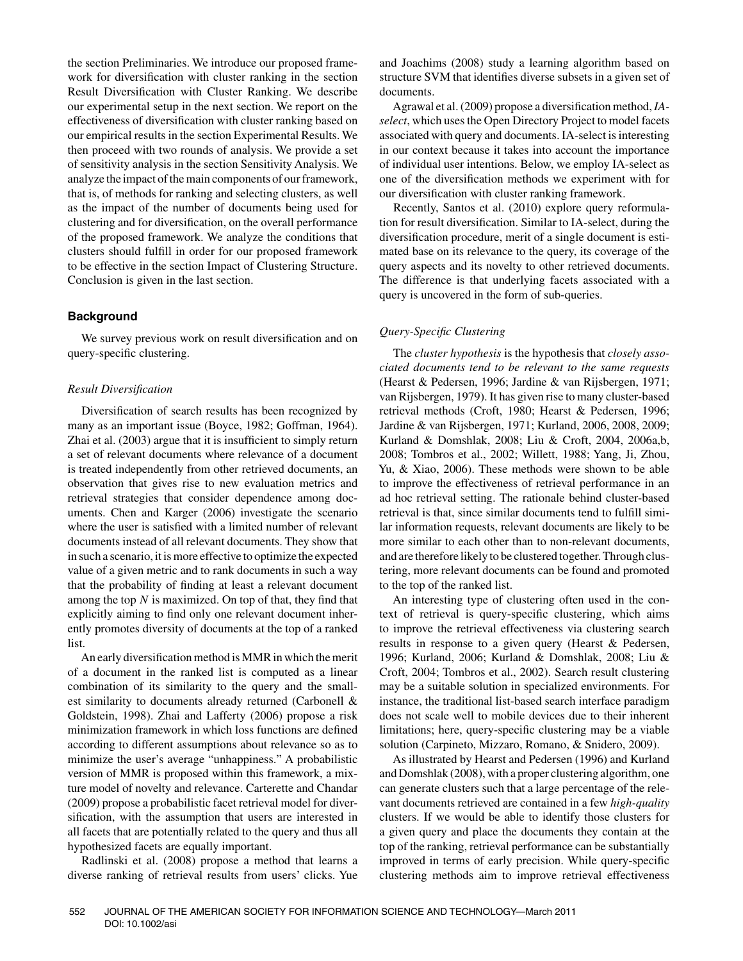the section Preliminaries. We introduce our proposed framework for diversification with cluster ranking in the section Result Diversification with Cluster Ranking. We describe our experimental setup in the next section. We report on the effectiveness of diversification with cluster ranking based on our empirical results in the section Experimental Results. We then proceed with two rounds of analysis. We provide a set of sensitivity analysis in the section Sensitivity Analysis. We analyze the impact of the main components of our framework, that is, of methods for ranking and selecting clusters, as well as the impact of the number of documents being used for clustering and for diversification, on the overall performance of the proposed framework. We analyze the conditions that clusters should fulfill in order for our proposed framework to be effective in the section Impact of Clustering Structure. Conclusion is given in the last section.

## **Background**

We survey previous work on result diversification and on query-specific clustering.

#### *Result Diversification*

Diversification of search results has been recognized by many as an important issue (Boyce, 1982; Goffman, 1964). Zhai et al. (2003) argue that it is insufficient to simply return a set of relevant documents where relevance of a document is treated independently from other retrieved documents, an observation that gives rise to new evaluation metrics and retrieval strategies that consider dependence among documents. Chen and Karger (2006) investigate the scenario where the user is satisfied with a limited number of relevant documents instead of all relevant documents. They show that in such a scenario, it is more effective to optimize the expected value of a given metric and to rank documents in such a way that the probability of finding at least a relevant document among the top *N* is maximized. On top of that, they find that explicitly aiming to find only one relevant document inherently promotes diversity of documents at the top of a ranked list.

An early diversification method is MMR in which the merit of a document in the ranked list is computed as a linear combination of its similarity to the query and the smallest similarity to documents already returned (Carbonell & Goldstein, 1998). Zhai and Lafferty (2006) propose a risk minimization framework in which loss functions are defined according to different assumptions about relevance so as to minimize the user's average "unhappiness." A probabilistic version of MMR is proposed within this framework, a mixture model of novelty and relevance. Carterette and Chandar (2009) propose a probabilistic facet retrieval model for diversification, with the assumption that users are interested in all facets that are potentially related to the query and thus all hypothesized facets are equally important.

Radlinski et al. (2008) propose a method that learns a diverse ranking of retrieval results from users' clicks. Yue and Joachims (2008) study a learning algorithm based on structure SVM that identifies diverse subsets in a given set of documents.

Agrawal et al. (2009) propose a diversification method,*IAselect*, which uses the Open Directory Project to model facets associated with query and documents. IA-select is interesting in our context because it takes into account the importance of individual user intentions. Below, we employ IA-select as one of the diversification methods we experiment with for our diversification with cluster ranking framework.

Recently, Santos et al. (2010) explore query reformulation for result diversification. Similar to IA-select, during the diversification procedure, merit of a single document is estimated base on its relevance to the query, its coverage of the query aspects and its novelty to other retrieved documents. The difference is that underlying facets associated with a query is uncovered in the form of sub-queries.

## *Query-Specific Clustering*

The *cluster hypothesis* is the hypothesis that *closely associated documents tend to be relevant to the same requests* (Hearst & Pedersen, 1996; Jardine & van Rijsbergen, 1971; van Rijsbergen, 1979). It has given rise to many cluster-based retrieval methods (Croft, 1980; Hearst & Pedersen, 1996; Jardine & van Rijsbergen, 1971; Kurland, 2006, 2008, 2009; Kurland & Domshlak, 2008; Liu & Croft, 2004, 2006a,b, 2008; Tombros et al., 2002; Willett, 1988; Yang, Ji, Zhou, Yu, & Xiao, 2006). These methods were shown to be able to improve the effectiveness of retrieval performance in an ad hoc retrieval setting. The rationale behind cluster-based retrieval is that, since similar documents tend to fulfill similar information requests, relevant documents are likely to be more similar to each other than to non-relevant documents, and are therefore likely to be clustered together. Through clustering, more relevant documents can be found and promoted to the top of the ranked list.

An interesting type of clustering often used in the context of retrieval is query-specific clustering, which aims to improve the retrieval effectiveness via clustering search results in response to a given query (Hearst & Pedersen, 1996; Kurland, 2006; Kurland & Domshlak, 2008; Liu & Croft, 2004; Tombros et al., 2002). Search result clustering may be a suitable solution in specialized environments. For instance, the traditional list-based search interface paradigm does not scale well to mobile devices due to their inherent limitations; here, query-specific clustering may be a viable solution (Carpineto, Mizzaro, Romano, & Snidero, 2009).

As illustrated by Hearst and Pedersen (1996) and Kurland and Domshlak (2008), with a proper clustering algorithm, one can generate clusters such that a large percentage of the relevant documents retrieved are contained in a few *high-quality* clusters. If we would be able to identify those clusters for a given query and place the documents they contain at the top of the ranking, retrieval performance can be substantially improved in terms of early precision. While query-specific clustering methods aim to improve retrieval effectiveness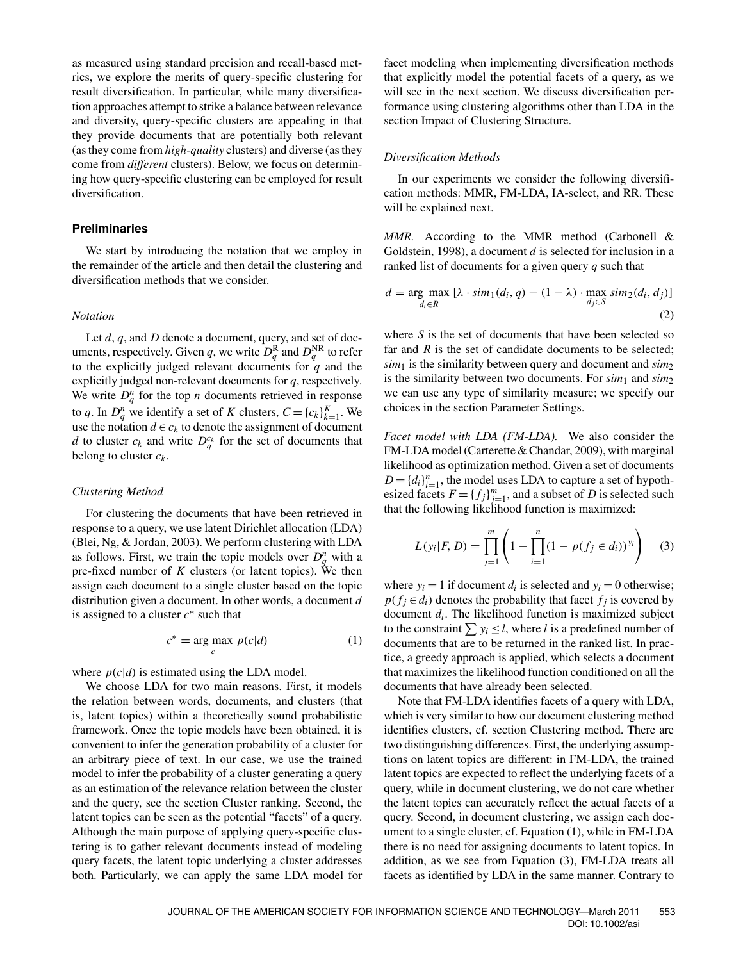as measured using standard precision and recall-based metrics, we explore the merits of query-specific clustering for result diversification. In particular, while many diversification approaches attempt to strike a balance between relevance and diversity, query-specific clusters are appealing in that they provide documents that are potentially both relevant (as they come from *high-quality* clusters) and diverse (as they come from *different* clusters). Below, we focus on determining how query-specific clustering can be employed for result diversification.

## **Preliminaries**

We start by introducing the notation that we employ in the remainder of the article and then detail the clustering and diversification methods that we consider.

## *Notation*

Let *d*, *q*, and *D* denote a document, query, and set of documents, respectively. Given *q*, we write  $D_q^{\rm R}$  and  $D_q^{\rm NR}$  to refer to the explicitly judged relevant documents for  $q$  and the explicitly judged non-relevant documents for *q*, respectively. We write  $D_q^n$  for the top *n* documents retrieved in response to *q*. In  $D_q^n$  we identify a set of *K* clusters,  $C = \{c_k\}_{k=1}^K$ . We use the notation  $d \in c_k$  to denote the assignment of document *d* to cluster  $c_k$  and write  $D_q^{c_k}$  for the set of documents that belong to cluster  $c_k$ .

#### *Clustering Method*

For clustering the documents that have been retrieved in response to a query, we use latent Dirichlet allocation (LDA) (Blei, Ng, & Jordan, 2003). We perform clustering with LDA as follows. First, we train the topic models over  $D_q^n$  with a pre-fixed number of  $K$  clusters (or latent topics). We then assign each document to a single cluster based on the topic distribution given a document. In other words, a document *d* is assigned to a cluster  $c^*$  such that

$$
c^* = \underset{c}{\text{arg max}} p(c|d) \tag{1}
$$

where  $p(c|d)$  is estimated using the LDA model.

We choose LDA for two main reasons. First, it models the relation between words, documents, and clusters (that is, latent topics) within a theoretically sound probabilistic framework. Once the topic models have been obtained, it is convenient to infer the generation probability of a cluster for an arbitrary piece of text. In our case, we use the trained model to infer the probability of a cluster generating a query as an estimation of the relevance relation between the cluster and the query, see the section Cluster ranking. Second, the latent topics can be seen as the potential "facets" of a query. Although the main purpose of applying query-specific clustering is to gather relevant documents instead of modeling query facets, the latent topic underlying a cluster addresses both. Particularly, we can apply the same LDA model for facet modeling when implementing diversification methods that explicitly model the potential facets of a query, as we will see in the next section. We discuss diversification performance using clustering algorithms other than LDA in the section Impact of Clustering Structure.

#### *Diversification Methods*

In our experiments we consider the following diversification methods: MMR, FM-LDA, IA-select, and RR. These will be explained next.

*MMR.* According to the MMR method (Carbonell & Goldstein, 1998), a document *d* is selected for inclusion in a ranked list of documents for a given query *q* such that

$$
d = \underset{d_i \in R}{\arg \max} \left[ \lambda \cdot \operatorname{sim}_1(d_i, q) - (1 - \lambda) \cdot \underset{d_j \in S}{\max} \operatorname{sim}_2(d_i, d_j) \right]
$$
\n(2)

where *S* is the set of documents that have been selected so far and *R* is the set of candidate documents to be selected;  $sim<sub>1</sub>$  is the similarity between query and document and  $sim<sub>2</sub>$ is the similarity between two documents. For  $sim_1$  and  $sim_2$ we can use any type of similarity measure; we specify our choices in the section Parameter Settings.

*Facet model with LDA (FM-LDA).* We also consider the FM-LDA model (Carterette & Chandar, 2009), with marginal likelihood as optimization method. Given a set of documents  $D = \{d_i\}_{i=1}^n$ , the model uses LDA to capture a set of hypothesized facets  $F = \{f_j\}_{j=1}^m$ , and a subset of *D* is selected such that the following likelihood function is maximized:

$$
L(y_i|F, D) = \prod_{j=1}^{m} \left(1 - \prod_{i=1}^{n} (1 - p(f_j \in d_i))^{y_i}\right) \quad (3)
$$

where  $y_i = 1$  if document  $d_i$  is selected and  $y_i = 0$  otherwise;  $p(f_j \in d_i)$  denotes the probability that facet  $f_j$  is covered by document *di*. The likelihood function is maximized subject to the constraint  $\sum y_i \leq l$ , where *l* is a predefined number of documents that are to be returned in the ranked list. In practice, a greedy approach is applied, which selects a document that maximizes the likelihood function conditioned on all the documents that have already been selected.

Note that FM-LDA identifies facets of a query with LDA, which is very similar to how our document clustering method identifies clusters, cf. section Clustering method. There are two distinguishing differences. First, the underlying assumptions on latent topics are different: in FM-LDA, the trained latent topics are expected to reflect the underlying facets of a query, while in document clustering, we do not care whether the latent topics can accurately reflect the actual facets of a query. Second, in document clustering, we assign each document to a single cluster, cf. Equation (1), while in FM-LDA there is no need for assigning documents to latent topics. In addition, as we see from Equation (3), FM-LDA treats all facets as identified by LDA in the same manner. Contrary to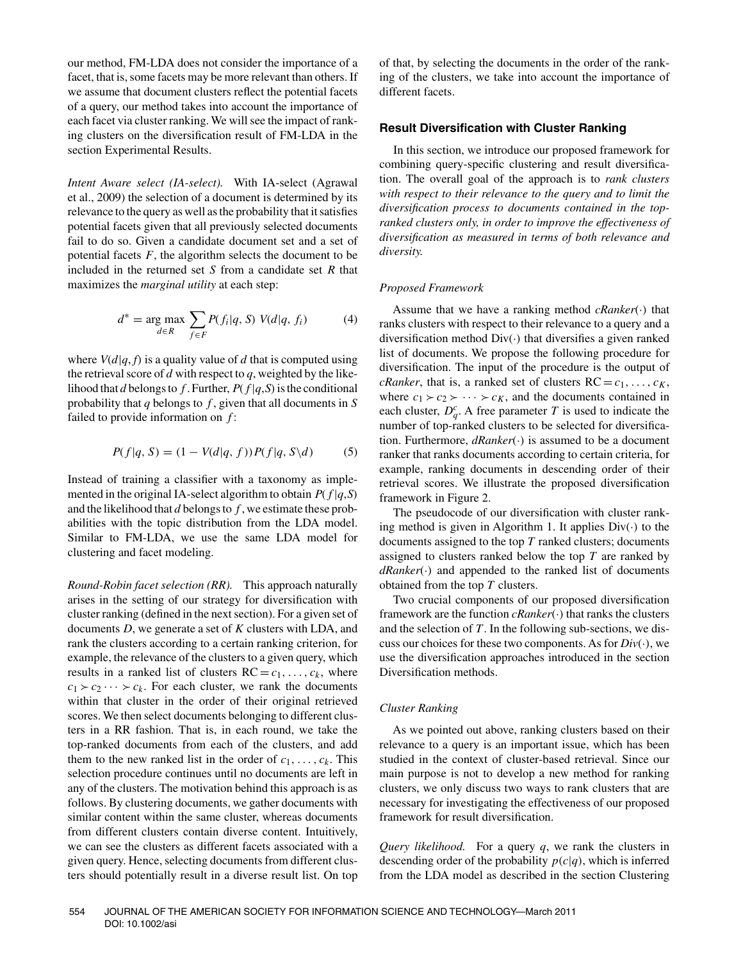our method, FM-LDA does not consider the importance of a facet, that is, some facets may be more relevant than others. If we assume that document clusters reflect the potential facets of a query, our method takes into account the importance of each facet via cluster ranking. We will see the impact of ranking clusters on the diversification result of FM-LDA in the section Experimental Results.

*Intent Aware select (IA-select).* With IA-select (Agrawal et al., 2009) the selection of a document is determined by its relevance to the query as well as the probability that it satisfies potential facets given that all previously selected documents fail to do so. Given a candidate document set and a set of potential facets *F*, the algorithm selects the document to be included in the returned set *S* from a candidate set *R* that maximizes the *marginal utility* at each step:

$$
d^* = \underset{d \in R}{\text{arg max}} \sum_{f \in F} P(f_i | q, S) \ V(d | q, f_i) \tag{4}
$$

where  $V(d|q, f)$  is a quality value of *d* that is computed using the retrieval score of *d* with respect to *q*, weighted by the likelihood that *d* belongs to *f*. Further,  $P(f|q, S)$  is the conditional probability that *q* belongs to *f* , given that all documents in *S* failed to provide information on *f* :

$$
P(f|q, S) = (1 - V(d|q, f))P(f|q, S\backslash d)
$$
 (5)

Instead of training a classifier with a taxonomy as implemented in the original IA-select algorithm to obtain  $P(f|q, S)$ and the likelihood that *d* belongs to *f* , we estimate these probabilities with the topic distribution from the LDA model. Similar to FM-LDA, we use the same LDA model for clustering and facet modeling.

*Round-Robin facet selection (RR).* This approach naturally arises in the setting of our strategy for diversification with cluster ranking (defined in the next section). For a given set of documents *D*, we generate a set of *K* clusters with LDA, and rank the clusters according to a certain ranking criterion, for example, the relevance of the clusters to a given query, which results in a ranked list of clusters  $RC = c_1, \ldots, c_k$ , where  $c_1$   $\succ$   $c_2$   $\cdots$   $\succ$   $c_k$ . For each cluster, we rank the documents within that cluster in the order of their original retrieved scores. We then select documents belonging to different clusters in a RR fashion. That is, in each round, we take the top-ranked documents from each of the clusters, and add them to the new ranked list in the order of  $c_1, \ldots, c_k$ . This selection procedure continues until no documents are left in any of the clusters. The motivation behind this approach is as follows. By clustering documents, we gather documents with similar content within the same cluster, whereas documents from different clusters contain diverse content. Intuitively, we can see the clusters as different facets associated with a given query. Hence, selecting documents from different clusters should potentially result in a diverse result list. On top of that, by selecting the documents in the order of the ranking of the clusters, we take into account the importance of different facets.

## **Result Diversification with Cluster Ranking**

In this section, we introduce our proposed framework for combining query-specific clustering and result diversification. The overall goal of the approach is to *rank clusters with respect to their relevance to the query and to limit the diversification process to documents contained in the topranked clusters only, in order to improve the effectiveness of diversification as measured in terms of both relevance and diversity.*

## *Proposed Framework*

Assume that we have a ranking method *cRanker*(·*)* that ranks clusters with respect to their relevance to a query and a diversification method Div(·*)* that diversifies a given ranked list of documents. We propose the following procedure for diversification. The input of the procedure is the output of *cRanker*, that is, a ranked set of clusters  $RC = c_1, \ldots, c_K$ , where  $c_1 > c_2 > \cdots > c_K$ , and the documents contained in each cluster,  $D_q^c$ . A free parameter *T* is used to indicate the number of top-ranked clusters to be selected for diversification. Furthermore, *dRanker*(·*)* is assumed to be a document ranker that ranks documents according to certain criteria, for example, ranking documents in descending order of their retrieval scores. We illustrate the proposed diversification framework in Figure 2.

The pseudocode of our diversification with cluster ranking method is given in Algorithm 1. It applies Div(·*)* to the documents assigned to the top *T* ranked clusters; documents assigned to clusters ranked below the top *T* are ranked by *dRanker*(·*)* and appended to the ranked list of documents obtained from the top *T* clusters.

Two crucial components of our proposed diversification framework are the function  $cRanker(\cdot)$  that ranks the clusters and the selection of *T* . In the following sub-sections, we discuss our choices for these two components. As for  $Div(\cdot)$ , we use the diversification approaches introduced in the section Diversification methods.

## *Cluster Ranking*

As we pointed out above, ranking clusters based on their relevance to a query is an important issue, which has been studied in the context of cluster-based retrieval. Since our main purpose is not to develop a new method for ranking clusters, we only discuss two ways to rank clusters that are necessary for investigating the effectiveness of our proposed framework for result diversification.

*Query likelihood.* For a query *q*, we rank the clusters in descending order of the probability  $p(c|q)$ , which is inferred from the LDA model as described in the section Clustering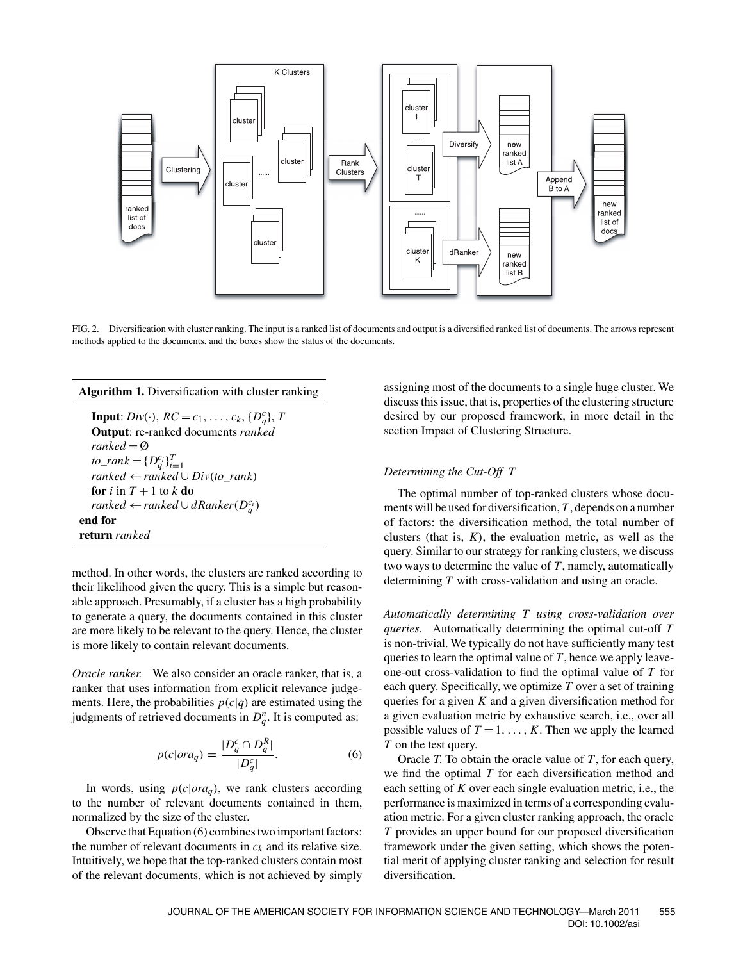

FIG. 2. Diversification with cluster ranking. The input is a ranked list of documents and output is a diversified ranked list of documents. The arrows represent methods applied to the documents, and the boxes show the status of the documents.

**Algorithm 1.** Diversification with cluster ranking

**Input**: *Div*(·),  $RC = c_1, ..., c_k, \{D_q^c\}, T$ **Output**: re-ranked documents *ranked ranked* = Ø  $to\_rank = \{D_q^{c_i}\}_{i=1}^T$ <br>*ranked* ← *ranked* ∪ *Div*(*to\_rank*) **for** *i* in  $T + 1$  to *k* **do** *ranked* ← *ranked* ∪ *dRanker*( $D_q^{c_i}$ ) **end for return** *ranked*

method. In other words, the clusters are ranked according to their likelihood given the query. This is a simple but reasonable approach. Presumably, if a cluster has a high probability to generate a query, the documents contained in this cluster are more likely to be relevant to the query. Hence, the cluster is more likely to contain relevant documents.

*Oracle ranker.* We also consider an oracle ranker, that is, a ranker that uses information from explicit relevance judgements. Here, the probabilities  $p(c|q)$  are estimated using the judgments of retrieved documents in  $D_q^n$ . It is computed as:

$$
p(c|ora_q) = \frac{|D_q^c \cap D_q^R|}{|D_q^c|}.
$$
 (6)

In words, using  $p(c|ora_q)$ , we rank clusters according to the number of relevant documents contained in them, normalized by the size of the cluster.

Observe that Equation (6) combines two important factors: the number of relevant documents in  $c_k$  and its relative size. Intuitively, we hope that the top-ranked clusters contain most of the relevant documents, which is not achieved by simply assigning most of the documents to a single huge cluster. We discuss this issue, that is, properties of the clustering structure desired by our proposed framework, in more detail in the section Impact of Clustering Structure.

## *Determining the Cut-Off T*

The optimal number of top-ranked clusters whose documents will be used for diversification, *T* , depends on a number of factors: the diversification method, the total number of clusters (that is, *K)*, the evaluation metric, as well as the query. Similar to our strategy for ranking clusters, we discuss two ways to determine the value of *T*, namely, automatically determining *T* with cross-validation and using an oracle.

*Automatically determining T using cross-validation over queries.* Automatically determining the optimal cut-off *T* is non-trivial. We typically do not have sufficiently many test queries to learn the optimal value of *T* , hence we apply leaveone-out cross-validation to find the optimal value of *T* for each query. Specifically, we optimize *T* over a set of training queries for a given *K* and a given diversification method for a given evaluation metric by exhaustive search, i.e., over all possible values of  $T = 1, \ldots, K$ . Then we apply the learned *T* on the test query.

Oracle *T.* To obtain the oracle value of *T* , for each query, we find the optimal *T* for each diversification method and each setting of *K* over each single evaluation metric, i.e., the performance is maximized in terms of a corresponding evaluation metric. For a given cluster ranking approach, the oracle *T* provides an upper bound for our proposed diversification framework under the given setting, which shows the potential merit of applying cluster ranking and selection for result diversification.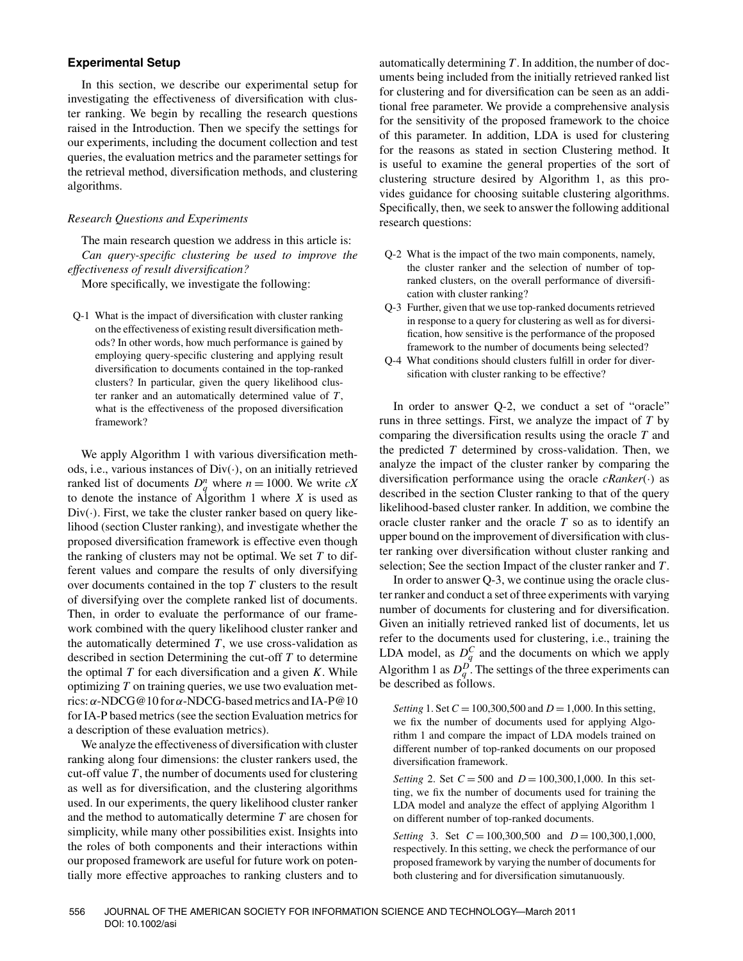## **Experimental Setup**

In this section, we describe our experimental setup for investigating the effectiveness of diversification with cluster ranking. We begin by recalling the research questions raised in the Introduction. Then we specify the settings for our experiments, including the document collection and test queries, the evaluation metrics and the parameter settings for the retrieval method, diversification methods, and clustering algorithms.

## *Research Questions and Experiments*

The main research question we address in this article is: *Can query-specific clustering be used to improve the effectiveness of result diversification?*

More specifically, we investigate the following:

Q-1 What is the impact of diversification with cluster ranking on the effectiveness of existing result diversification methods? In other words, how much performance is gained by employing query-specific clustering and applying result diversification to documents contained in the top-ranked clusters? In particular, given the query likelihood cluster ranker and an automatically determined value of *T* , what is the effectiveness of the proposed diversification framework?

We apply Algorithm 1 with various diversification methods, i.e., various instances of Div(·*)*, on an initially retrieved ranked list of documents  $D_q^n$  where  $n = 1000$ . We write  $cX$ to denote the instance of Algorithm 1 where *X* is used as  $Div(\cdot)$ . First, we take the cluster ranker based on query likelihood (section Cluster ranking), and investigate whether the proposed diversification framework is effective even though the ranking of clusters may not be optimal. We set *T* to different values and compare the results of only diversifying over documents contained in the top *T* clusters to the result of diversifying over the complete ranked list of documents. Then, in order to evaluate the performance of our framework combined with the query likelihood cluster ranker and the automatically determined *T* , we use cross-validation as described in section Determining the cut-off *T* to determine the optimal *T* for each diversification and a given *K*. While optimizing *T* on training queries, we use two evaluation metrics:*α*-NDCG@10 for*α*-NDCG-based metrics and IA-P@10 for IA-P based metrics (see the section Evaluation metrics for a description of these evaluation metrics).

We analyze the effectiveness of diversification with cluster ranking along four dimensions: the cluster rankers used, the cut-off value *T* , the number of documents used for clustering as well as for diversification, and the clustering algorithms used. In our experiments, the query likelihood cluster ranker and the method to automatically determine *T* are chosen for simplicity, while many other possibilities exist. Insights into the roles of both components and their interactions within our proposed framework are useful for future work on potentially more effective approaches to ranking clusters and to automatically determining *T* . In addition, the number of documents being included from the initially retrieved ranked list for clustering and for diversification can be seen as an additional free parameter. We provide a comprehensive analysis for the sensitivity of the proposed framework to the choice of this parameter. In addition, LDA is used for clustering for the reasons as stated in section Clustering method. It is useful to examine the general properties of the sort of clustering structure desired by Algorithm 1, as this provides guidance for choosing suitable clustering algorithms. Specifically, then, we seek to answer the following additional research questions:

- Q-2 What is the impact of the two main components, namely, the cluster ranker and the selection of number of topranked clusters, on the overall performance of diversification with cluster ranking?
- Q-3 Further, given that we use top-ranked documents retrieved in response to a query for clustering as well as for diversification, how sensitive is the performance of the proposed framework to the number of documents being selected?
- Q-4 What conditions should clusters fulfill in order for diversification with cluster ranking to be effective?

In order to answer Q-2, we conduct a set of "oracle" runs in three settings. First, we analyze the impact of *T* by comparing the diversification results using the oracle *T* and the predicted *T* determined by cross-validation. Then, we analyze the impact of the cluster ranker by comparing the diversification performance using the oracle *cRanker*(·*)* as described in the section Cluster ranking to that of the query likelihood-based cluster ranker. In addition, we combine the oracle cluster ranker and the oracle *T* so as to identify an upper bound on the improvement of diversification with cluster ranking over diversification without cluster ranking and selection; See the section Impact of the cluster ranker and *T* .

In order to answer Q-3, we continue using the oracle cluster ranker and conduct a set of three experiments with varying number of documents for clustering and for diversification. Given an initially retrieved ranked list of documents, let us refer to the documents used for clustering, i.e., training the LDA model, as  $D_q^C$  and the documents on which we apply Algorithm 1 as  $D_q^D$ . The settings of the three experiments can be described as follows.

*Setting* 1. Set  $C = 100,300,500$  and  $D = 1,000$ . In this setting, we fix the number of documents used for applying Algorithm 1 and compare the impact of LDA models trained on different number of top-ranked documents on our proposed diversification framework.

*Setting* 2. Set  $C = 500$  and  $D = 100,300,1,000$ . In this setting, we fix the number of documents used for training the LDA model and analyze the effect of applying Algorithm 1 on different number of top-ranked documents.

*Setting* 3. Set *C* = 100,300,500 and *D* = 100,300,1,000, respectively. In this setting, we check the performance of our proposed framework by varying the number of documents for both clustering and for diversification simutanuously.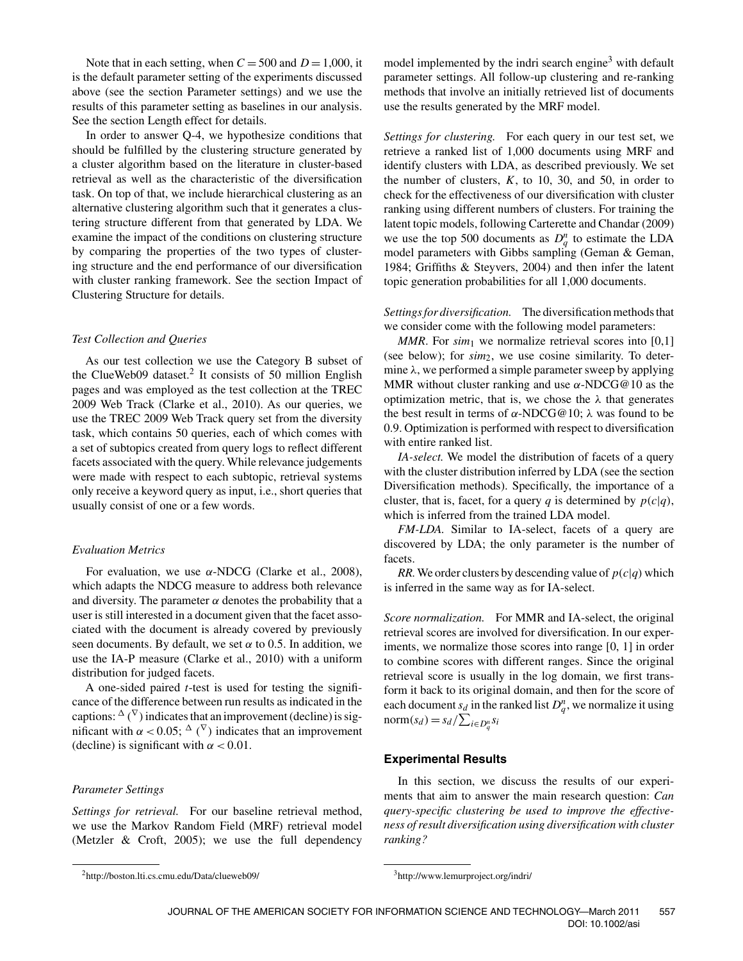Note that in each setting, when  $C = 500$  and  $D = 1,000$ , it is the default parameter setting of the experiments discussed above (see the section Parameter settings) and we use the results of this parameter setting as baselines in our analysis. See the section Length effect for details.

In order to answer Q-4, we hypothesize conditions that should be fulfilled by the clustering structure generated by a cluster algorithm based on the literature in cluster-based retrieval as well as the characteristic of the diversification task. On top of that, we include hierarchical clustering as an alternative clustering algorithm such that it generates a clustering structure different from that generated by LDA. We examine the impact of the conditions on clustering structure by comparing the properties of the two types of clustering structure and the end performance of our diversification with cluster ranking framework. See the section Impact of Clustering Structure for details.

#### *Test Collection and Queries*

As our test collection we use the Category B subset of the ClueWeb09 dataset.<sup>2</sup> It consists of 50 million English pages and was employed as the test collection at the TREC 2009 Web Track (Clarke et al., 2010). As our queries, we use the TREC 2009 Web Track query set from the diversity task, which contains 50 queries, each of which comes with a set of subtopics created from query logs to reflect different facets associated with the query. While relevance judgements were made with respect to each subtopic, retrieval systems only receive a keyword query as input, i.e., short queries that usually consist of one or a few words.

#### *Evaluation Metrics*

For evaluation, we use *α*-NDCG (Clarke et al., 2008), which adapts the NDCG measure to address both relevance and diversity. The parameter  $\alpha$  denotes the probability that a user is still interested in a document given that the facet associated with the document is already covered by previously seen documents. By default, we set  $\alpha$  to 0.5. In addition, we use the IA-P measure (Clarke et al., 2010) with a uniform distribution for judged facets.

A one-sided paired *t*-test is used for testing the significance of the difference between run results as indicated in the captions:  $\Delta(\nabla)$  indicates that an improvement (decline) is significant with  $\alpha < 0.05$ ;  $\Delta(\nabla)$  indicates that an improvement (decline) is significant with  $\alpha$  < 0.01.

#### *Parameter Settings*

*Settings for retrieval.* For our baseline retrieval method, we use the Markov Random Field (MRF) retrieval model (Metzler & Croft, 2005); we use the full dependency model implemented by the indri search engine<sup>3</sup> with default parameter settings. All follow-up clustering and re-ranking methods that involve an initially retrieved list of documents use the results generated by the MRF model.

*Settings for clustering.* For each query in our test set, we retrieve a ranked list of 1,000 documents using MRF and identify clusters with LDA, as described previously. We set the number of clusters, *K*, to 10, 30, and 50, in order to check for the effectiveness of our diversification with cluster ranking using different numbers of clusters. For training the latent topic models, following Carterette and Chandar (2009) we use the top 500 documents as  $D_q^n$  to estimate the LDA model parameters with Gibbs sampling (Geman & Geman, 1984; Griffiths & Steyvers, 2004) and then infer the latent topic generation probabilities for all 1,000 documents.

*Settings for diversification.* The diversification methods that we consider come with the following model parameters:

*MMR*. For  $sim_1$  we normalize retrieval scores into [0,1] (see below); for *sim*2, we use cosine similarity. To determine *λ*, we performed a simple parameter sweep by applying MMR without cluster ranking and use *α*-NDCG@10 as the optimization metric, that is, we chose the *λ* that generates the best result in terms of *α*-NDCG@10; *λ* was found to be 0.9. Optimization is performed with respect to diversification with entire ranked list.

*IA-select.* We model the distribution of facets of a query with the cluster distribution inferred by LDA (see the section Diversification methods). Specifically, the importance of a cluster, that is, facet, for a query *q* is determined by  $p(c|q)$ , which is inferred from the trained LDA model.

*FM-LDA.* Similar to IA-select, facets of a query are discovered by LDA; the only parameter is the number of facets.

*RR.* We order clusters by descending value of  $p(c|q)$  which is inferred in the same way as for IA-select.

*Score normalization.* For MMR and IA-select, the original retrieval scores are involved for diversification. In our experiments, we normalize those scores into range [0, 1] in order to combine scores with different ranges. Since the original retrieval score is usually in the log domain, we first transform it back to its original domain, and then for the score of each document  $s_d$  in the ranked list  $D_q^n$ , we normalize it using  $norm(s_d) = s_d / \sum_{i \in D_q^n} s_i$ 

# **Experimental Results**

In this section, we discuss the results of our experiments that aim to answer the main research question: *Can query-specific clustering be used to improve the effectiveness of result diversification using diversification with cluster ranking?*

<sup>2</sup>http://boston.lti.cs.cmu.edu/Data/clueweb09/

<sup>3</sup>http://www.lemurproject.org/indri/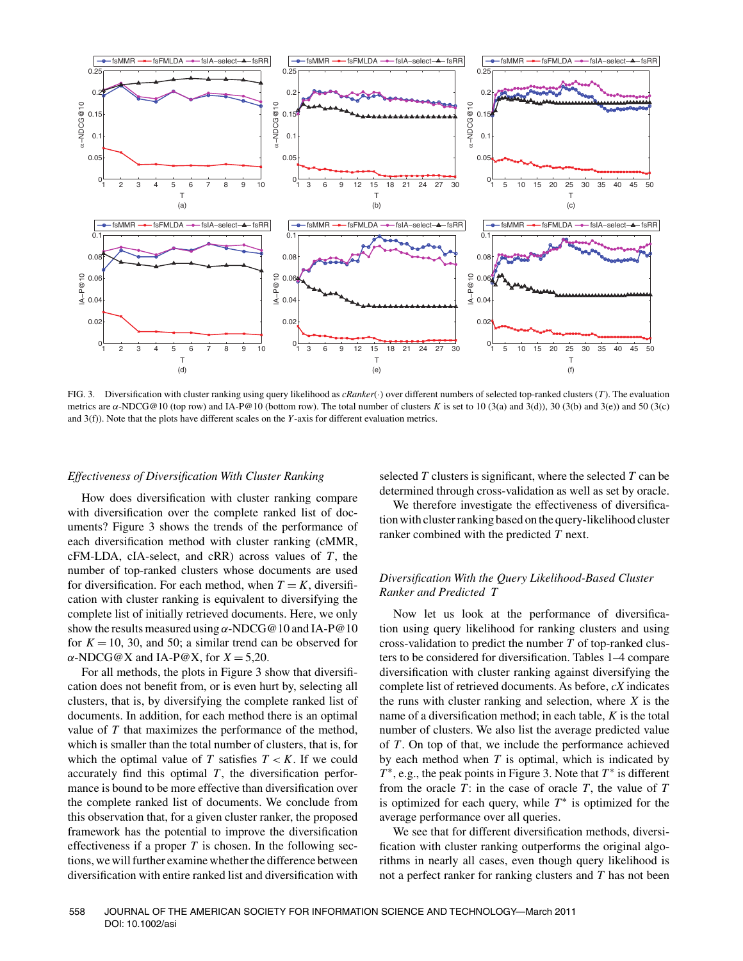

FIG. 3. Diversification with cluster ranking using query likelihood as *cRanker*(·*)* over different numbers of selected top-ranked clusters (*T* ). The evaluation metrics are *α*-NDCG@10 (top row) and IA-P@10 (bottom row). The total number of clusters *K* is set to 10 (3(a) and 3(d)), 30 (3(b) and 3(e)) and 50 (3(c) and 3(f)). Note that the plots have different scales on the *Y*-axis for different evaluation metrics.

#### *Effectiveness of Diversification With Cluster Ranking*

How does diversification with cluster ranking compare with diversification over the complete ranked list of documents? Figure 3 shows the trends of the performance of each diversification method with cluster ranking (cMMR, cFM-LDA, cIA-select, and cRR) across values of *T* , the number of top-ranked clusters whose documents are used for diversification. For each method, when  $T = K$ , diversification with cluster ranking is equivalent to diversifying the complete list of initially retrieved documents. Here, we only show the results measured using *α*-NDCG@10 and IA-P@10 for  $K = 10$ , 30, and 50; a similar trend can be observed for *α*-NDCG@X and IA-P@X, for *X* = 5,20.

For all methods, the plots in Figure 3 show that diversification does not benefit from, or is even hurt by, selecting all clusters, that is, by diversifying the complete ranked list of documents. In addition, for each method there is an optimal value of *T* that maximizes the performance of the method, which is smaller than the total number of clusters, that is, for which the optimal value of  $T$  satisfies  $T \leq K$ . If we could accurately find this optimal  $T$ , the diversification performance is bound to be more effective than diversification over the complete ranked list of documents. We conclude from this observation that, for a given cluster ranker, the proposed framework has the potential to improve the diversification effectiveness if a proper *T* is chosen. In the following sections, we will further examine whether the difference between diversification with entire ranked list and diversification with

selected *T* clusters is significant, where the selected *T* can be determined through cross-validation as well as set by oracle.

We therefore investigate the effectiveness of diversification with cluster ranking based on the query-likelihood cluster ranker combined with the predicted *T* next.

# *Diversification With the Query Likelihood-Based Cluster Ranker and Predicted T*

Now let us look at the performance of diversification using query likelihood for ranking clusters and using cross-validation to predict the number *T* of top-ranked clusters to be considered for diversification. Tables 1–4 compare diversification with cluster ranking against diversifying the complete list of retrieved documents. As before, *cX* indicates the runs with cluster ranking and selection, where *X* is the name of a diversification method; in each table, *K* is the total number of clusters. We also list the average predicted value of *T* . On top of that, we include the performance achieved by each method when *T* is optimal, which is indicated by  $T^*$ , e.g., the peak points in Figure 3. Note that  $T^*$  is different from the oracle  $T$ : in the case of oracle  $T$ , the value of  $T$ is optimized for each query, while  $T^*$  is optimized for the average performance over all queries.

We see that for different diversification methods, diversification with cluster ranking outperforms the original algorithms in nearly all cases, even though query likelihood is not a perfect ranker for ranking clusters and *T* has not been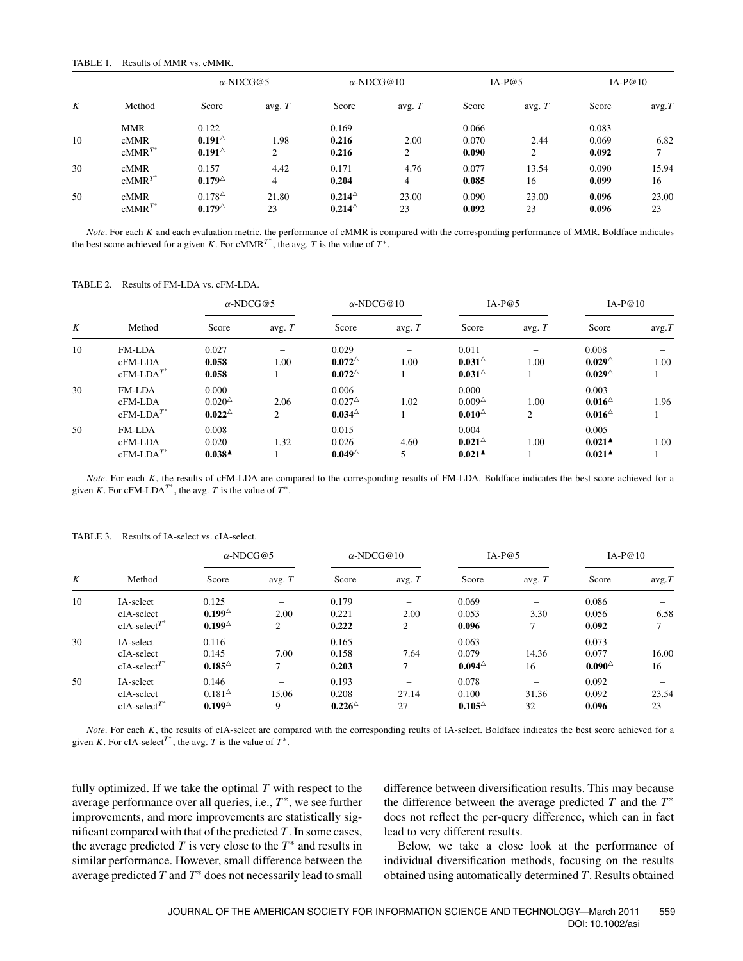|                                |                                   | $\alpha$ -NDCG@5                                    |                        | $\alpha$ -NDCG@10                          |                |                         | IA-P@5      |                         | $IA-P@10$      |  |
|--------------------------------|-----------------------------------|-----------------------------------------------------|------------------------|--------------------------------------------|----------------|-------------------------|-------------|-------------------------|----------------|--|
| K                              | Method                            | Score                                               | avg. $T$               | Score                                      | avg. $T$       | Score                   | avg. $T$    | Score                   | avg.T          |  |
| $\overline{\phantom{0}}$<br>10 | <b>MMR</b><br>cMMR<br>$cMMR^{T*}$ | 0.122<br>$0.191^{\triangle}$<br>$0.191^{\triangle}$ | 1.98<br>2              | 0.169<br>0.216<br>0.216                    | -<br>2.00<br>2 | 0.066<br>0.070<br>0.090 | 2.44<br>2   | 0.083<br>0.069<br>0.092 | 6.82<br>$\tau$ |  |
| 30                             | cMMR<br>$cMMR^{T^*}$              | 0.157<br>$0.179^{\triangle}$                        | 4.42<br>$\overline{4}$ | 0.171<br>0.204                             | 4.76<br>4      | 0.077<br>0.085          | 13.54<br>16 | 0.090<br>0.099          | 15.94<br>16    |  |
| 50                             | cMMR<br>$cMMR^{T*}$               | $0.178^{\triangle}$<br>$0.179^{\triangle}$          | 21.80<br>23            | $0.214^{\triangle}$<br>$0.214^{\triangle}$ | 23.00<br>23    | 0.090<br>0.092          | 23.00<br>23 | 0.096<br>0.096          | 23.00<br>23    |  |

*Note*. For each *K* and each evaluation metric, the performance of cMMR is compared with the corresponding performance of MMR. Boldface indicates the best score achieved for a given *K*. For cMMR<sup>*T*\*</sup>, the avg. *T* is the value of  $T^*$ .

| TABLE 2. Results of FM-LDA vs. cFM-LDA. |  |  |  |  |
|-----------------------------------------|--|--|--|--|
|-----------------------------------------|--|--|--|--|

|    |                                            | $\alpha$ -NDCG@5                                            |           | $\alpha$ -NDCG@10                                   |           | $IA-P@5$                                                              |                                           | $IA-P@10$                                                                                       |       |
|----|--------------------------------------------|-------------------------------------------------------------|-----------|-----------------------------------------------------|-----------|-----------------------------------------------------------------------|-------------------------------------------|-------------------------------------------------------------------------------------------------|-------|
| K  | Method                                     | Score                                                       | avg. $T$  | Score                                               | avg. $T$  | Score                                                                 | avg. $T$                                  | Score                                                                                           | avg.T |
| 10 | <b>FM-LDA</b><br>cFM-LDA<br>$cFM-LDA^{T*}$ | 0.027<br>0.058<br>0.058                                     | 1.00      | 0.029<br>$0.072^{\triangle}$<br>$0.072^{\triangle}$ | 1.00      | 0.011<br>$0.031^{\triangle}$<br>$0.031^{\circ}$                       | 1.00                                      | 0.008<br>$0.029^{\triangle}$<br>$0.029^{\triangle}$                                             | 1.00  |
| 30 | <b>FM-LDA</b><br>cFM-LDA<br>$cFM-LDA^{T*}$ | 0.000<br>$0.020^{\Delta}$<br>$0.022^{\triangle}$            | 2.06<br>2 | 0.006<br>$0.027^{\triangle}$<br>$0.034^{\triangle}$ | 1.02      | 0.000<br>$0.009^{\Delta}$<br>$0.010^{\triangle}$                      | $\qquad \qquad$<br>1.00<br>$\overline{c}$ | 0.003<br>$0.016^{\triangle}$<br>$0.016^{\triangle}$                                             | 1.96  |
| 50 | <b>FM-LDA</b><br>cFM-LDA<br>$cFM-LDA^{T*}$ | 0.008<br>0.020<br>$0.038$ <sup><math>\triangle</math></sup> | -<br>1.32 | 0.015<br>0.026<br>$0.049^{\triangle}$               | 4.60<br>5 | 0.004<br>$0.021^{\circ}$<br>$0.021$ <sup><math>\triangle</math></sup> | $\overline{\phantom{0}}$<br>1.00          | 0.005<br>$0.021$ <sup><math>\triangle</math></sup><br>$0.021$ <sup><math>\triangle</math></sup> | 1.00  |

*Note*. For each *K*, the results of cFM-LDA are compared to the corresponding results of FM-LDA. Boldface indicates the best score achieved for a given *K*. For cFM-LDA<sup> $T^*$ </sup>, the avg. *T* is the value of  $T^*$ .

|    |                           | $\alpha$ -NDCG@5    |                          | $\alpha$ -NDCG@10   |                          | $IA-P@5$            | $IA-P@10$                |                     |       |
|----|---------------------------|---------------------|--------------------------|---------------------|--------------------------|---------------------|--------------------------|---------------------|-------|
| K  | Method                    | Score               | avg. $T$                 | Score               | avg. $T$                 | Score               | avg. $T$                 | Score               | avg.T |
| 10 | IA-select                 | 0.125               |                          | 0.179               |                          | 0.069               | -                        | 0.086               |       |
|    | cIA-select                | $0.199^{\triangle}$ | 2.00                     | 0.221               | 2.00                     | 0.053               | 3.30                     | 0.056               | 6.58  |
|    | $cIA\text{-select}^{T^*}$ | $0.199^{\triangle}$ | 2                        | 0.222               | 2                        | 0.096               | 7                        | 0.092               | 7     |
| 30 | IA-select                 | 0.116               | $\overline{\phantom{0}}$ | 0.165               |                          | 0.063               | $\overline{\phantom{0}}$ | 0.073               |       |
|    | cIA-select                | 0.145               | 7.00                     | 0.158               | 7.64                     | 0.079               | 14.36                    | 0.077               | 16.00 |
|    | $cIA\text{-select}^{T^*}$ | $0.185^{\triangle}$ | π                        | 0.203               | 7                        | $0.094^{\triangle}$ | 16                       | $0.090^{\triangle}$ | 16    |
| 50 | IA-select                 | 0.146               | -                        | 0.193               | $\overline{\phantom{m}}$ | 0.078               | $\overline{\phantom{0}}$ | 0.092               |       |
|    | cIA-select                | $0.181^{\triangle}$ | 15.06                    | 0.208               | 27.14                    | 0.100               | 31.36                    | 0.092               | 23.54 |
|    | $cIA\text{-select}^{T^*}$ | $0.199^{\triangle}$ | 9                        | $0.226^{\triangle}$ | 27                       | $0.105^{\triangle}$ | 32                       | 0.096               | 23    |

TABLE 3. Results of IA-select vs. cIA-select.

*Note*. For each *K*, the results of cIA-select are compared with the corresponding reults of IA-select. Boldface indicates the best score achieved for a given *K*. For cIA-select<sup> $T^*$ </sup>, the avg. *T* is the value of  $T^*$ .

fully optimized. If we take the optimal *T* with respect to the average performance over all queries, i.e.,  $T^*$ , we see further improvements, and more improvements are statistically significant compared with that of the predicted *T* . In some cases, the average predicted  $T$  is very close to the  $T^*$  and results in similar performance. However, small difference between the average predicted  $T$  and  $T^*$  does not necessarily lead to small difference between diversification results. This may because the difference between the average predicted  $T$  and the  $T^*$ does not reflect the per-query difference, which can in fact lead to very different results.

Below, we take a close look at the performance of individual diversification methods, focusing on the results obtained using automatically determined *T* . Results obtained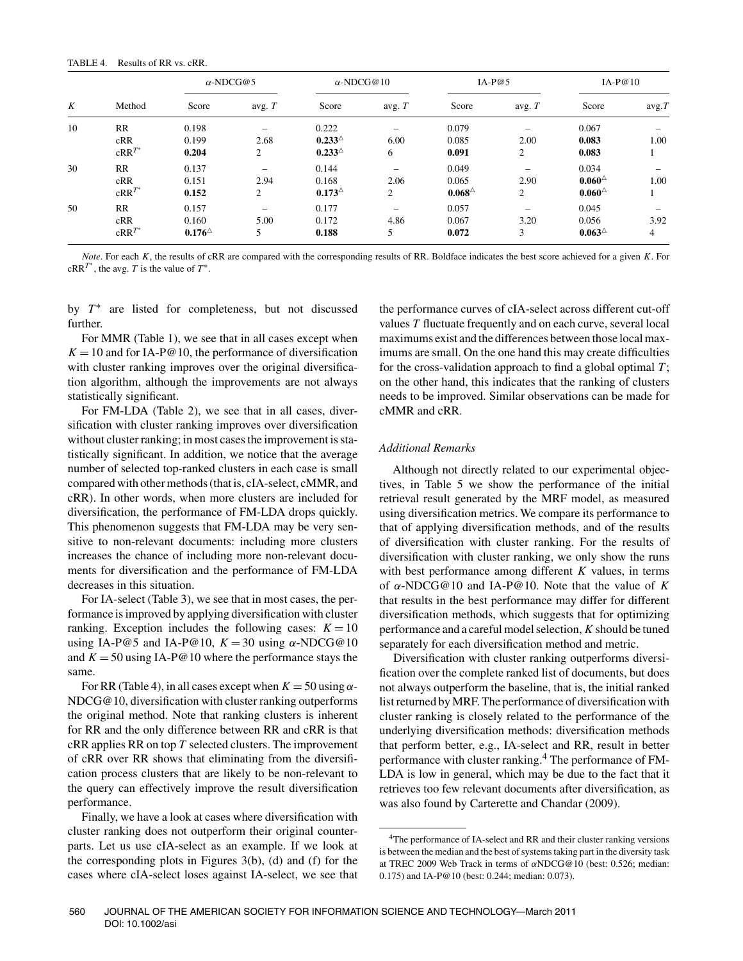|    |            | $\alpha$ -NDCG@5    |                          | $\alpha$ -NDCG@10   |          | $IA-P@5$            |                |                     | $IA-P@10$ |  |
|----|------------|---------------------|--------------------------|---------------------|----------|---------------------|----------------|---------------------|-----------|--|
| K  | Method     | Score               | avg. $T$                 | Score               | avg. $T$ | Score               | avg. $T$       | Score               | avg.T     |  |
| 10 | <b>RR</b>  | 0.198               | $\overline{\phantom{0}}$ | 0.222               |          | 0.079               |                | 0.067               |           |  |
|    | cRR        | 0.199               | 2.68                     | $0.233^{\triangle}$ | 6.00     | 0.085               | 2.00           | 0.083               | 1.00      |  |
|    | $cRR^{T*}$ | 0.204               | 2                        | $0.233^{\triangle}$ | 6        | 0.091               | $\overline{2}$ | 0.083               |           |  |
| 30 | RR         | 0.137               | $\overline{\phantom{0}}$ | 0.144               |          | 0.049               | -              | 0.034               |           |  |
|    | cRR        | 0.151               | 2.94                     | 0.168               | 2.06     | 0.065               | 2.90           | $0.060^{\triangle}$ | 1.00      |  |
|    | $cRR^{T*}$ | 0.152               | 2                        | $0.173^{\triangle}$ | 2        | $0.068^{\triangle}$ | $\overline{2}$ | $0.060^{\triangle}$ |           |  |
| 50 | RR         | 0.157               |                          | 0.177               |          | 0.057               |                | 0.045               |           |  |
|    | cRR        | 0.160               | 5.00                     | 0.172               | 4.86     | 0.067               | 3.20           | 0.056               | 3.92      |  |
|    | $cRR^{T*}$ | $0.176^{\triangle}$ | 5                        | 0.188               | 5        | 0.072               | 3              | $0.063^{\triangle}$ | 4         |  |

*Note*. For each *K*, the results of cRR are compared with the corresponding results of RR. Boldface indicates the best score achieved for a given *K*. For  $cRR^{T*}$ , the avg. *T* is the value of  $T^*$ .

by  $T^*$  are listed for completeness, but not discussed further.

For MMR (Table 1), we see that in all cases except when  $K = 10$  and for IA-P@10, the performance of diversification with cluster ranking improves over the original diversification algorithm, although the improvements are not always statistically significant.

For FM-LDA (Table 2), we see that in all cases, diversification with cluster ranking improves over diversification without cluster ranking; in most cases the improvement is statistically significant. In addition, we notice that the average number of selected top-ranked clusters in each case is small compared with other methods (that is, cIA-select, cMMR, and cRR). In other words, when more clusters are included for diversification, the performance of FM-LDA drops quickly. This phenomenon suggests that FM-LDA may be very sensitive to non-relevant documents: including more clusters increases the chance of including more non-relevant documents for diversification and the performance of FM-LDA decreases in this situation.

For IA-select (Table 3), we see that in most cases, the performance is improved by applying diversification with cluster ranking. Exception includes the following cases:  $K = 10$ using IA-P@5 and IA-P@10,  $K = 30$  using  $\alpha$ -NDCG@10 and  $K = 50$  using IA-P $\textcircled{e}$  10 where the performance stays the same.

For RR (Table 4), in all cases except when  $K = 50$  using  $\alpha$ -NDCG@10, diversification with cluster ranking outperforms the original method. Note that ranking clusters is inherent for RR and the only difference between RR and cRR is that cRR applies RR on top *T* selected clusters. The improvement of cRR over RR shows that eliminating from the diversification process clusters that are likely to be non-relevant to the query can effectively improve the result diversification performance.

Finally, we have a look at cases where diversification with cluster ranking does not outperform their original counterparts. Let us use cIA-select as an example. If we look at the corresponding plots in Figures 3(b), (d) and (f) for the cases where cIA-select loses against IA-select, we see that the performance curves of cIA-select across different cut-off values *T* fluctuate frequently and on each curve, several local maximums exist and the differences between those local maximums are small. On the one hand this may create difficulties for the cross-validation approach to find a global optimal *T* ; on the other hand, this indicates that the ranking of clusters needs to be improved. Similar observations can be made for cMMR and cRR.

## *Additional Remarks*

Although not directly related to our experimental objectives, in Table 5 we show the performance of the initial retrieval result generated by the MRF model, as measured using diversification metrics. We compare its performance to that of applying diversification methods, and of the results of diversification with cluster ranking. For the results of diversification with cluster ranking, we only show the runs with best performance among different *K* values, in terms of *α*-NDCG@10 and IA-P@10. Note that the value of *K* that results in the best performance may differ for different diversification methods, which suggests that for optimizing performance and a careful model selection,*K* should be tuned separately for each diversification method and metric.

Diversification with cluster ranking outperforms diversification over the complete ranked list of documents, but does not always outperform the baseline, that is, the initial ranked list returned by MRF. The performance of diversification with cluster ranking is closely related to the performance of the underlying diversification methods: diversification methods that perform better, e.g., IA-select and RR, result in better performance with cluster ranking.<sup>4</sup> The performance of FM-LDA is low in general, which may be due to the fact that it retrieves too few relevant documents after diversification, as was also found by Carterette and Chandar (2009).

<sup>&</sup>lt;sup>4</sup>The performance of IA-select and RR and their cluster ranking versions is between the median and the best of systems taking part in the diversity task at TREC 2009 Web Track in terms of *α*NDCG@10 (best: 0.526; median: 0.175) and IA-P@10 (best: 0.244; median: 0.073).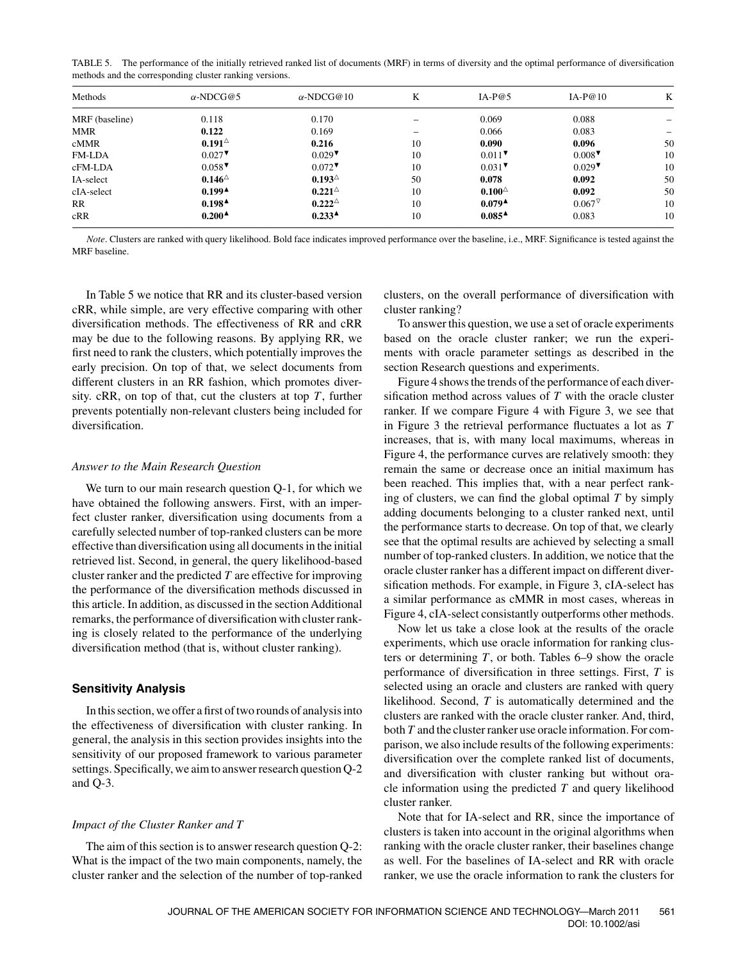TABLE 5. The performance of the initially retrieved ranked list of documents (MRF) in terms of diversity and the optimal performance of diversification methods and the corresponding cluster ranking versions.

| Methods        | $\alpha$ -NDCG@5                              | $\alpha$ -NDCG@10    | K  | $IA-P@5$                                  | $IA-P@10$                                          | K  |
|----------------|-----------------------------------------------|----------------------|----|-------------------------------------------|----------------------------------------------------|----|
| MRF (baseline) | 0.118                                         | 0.170                |    | 0.069                                     | 0.088                                              |    |
| MMR            | 0.122                                         | 0.169                |    | 0.066                                     | 0.083                                              |    |
| cMMR           | $0.191^{\triangle}$                           | 0.216                | 10 | 0.090                                     | 0.096                                              | 50 |
| FM-LDA         | $0.027$ <sup>V</sup>                          | $0.029$ <sup>V</sup> | 10 | $0.011$ <sup>V</sup>                      | $0.008$ <sup><math>\blacktriangledown</math></sup> | 10 |
| cFM-LDA        | $0.058$ <sup><math>\triangledown</math></sup> | $0.072$ <sup>V</sup> | 10 | $0.031$ <sup>V</sup>                      | $0.029$ <sup>V</sup>                               | 10 |
| IA-select      | $0.146^{\triangle}$                           | $0.193^{\triangle}$  | 50 | 0.078                                     | 0.092                                              | 50 |
| cIA-select     | $0.199^{\AA}$                                 | $0.221^{\circ}$      | 10 | $0.100^{\triangle}$                       | 0.092                                              | 50 |
| <b>RR</b>      | $0.198^{\AA}$                                 | $0.222^{\triangle}$  | 10 | $0.079$ <sup><math>\triangle</math></sup> | $0.067$ <sup><math>\triangledown</math></sup>      | 10 |
| cRR            | $0.200^{\text{A}}$                            | $0.233^*$            | 10 | $0.085^{\text{A}}$                        | 0.083                                              | 10 |

*Note*. Clusters are ranked with query likelihood. Bold face indicates improved performance over the baseline, i.e., MRF. Significance is tested against the MRF baseline.

In Table 5 we notice that RR and its cluster-based version cRR, while simple, are very effective comparing with other diversification methods. The effectiveness of RR and cRR may be due to the following reasons. By applying RR, we first need to rank the clusters, which potentially improves the early precision. On top of that, we select documents from different clusters in an RR fashion, which promotes diversity. cRR, on top of that, cut the clusters at top  $T$ , further prevents potentially non-relevant clusters being included for diversification.

## *Answer to the Main Research Question*

We turn to our main research question Q-1, for which we have obtained the following answers. First, with an imperfect cluster ranker, diversification using documents from a carefully selected number of top-ranked clusters can be more effective than diversification using all documents in the initial retrieved list. Second, in general, the query likelihood-based cluster ranker and the predicted *T* are effective for improving the performance of the diversification methods discussed in this article. In addition, as discussed in the section Additional remarks, the performance of diversification with cluster ranking is closely related to the performance of the underlying diversification method (that is, without cluster ranking).

## **Sensitivity Analysis**

In this section, we offer a first of two rounds of analysis into the effectiveness of diversification with cluster ranking. In general, the analysis in this section provides insights into the sensitivity of our proposed framework to various parameter settings. Specifically, we aim to answer research question Q-2 and Q-3.

## *Impact of the Cluster Ranker and T*

The aim of this section is to answer research question Q-2: What is the impact of the two main components, namely, the cluster ranker and the selection of the number of top-ranked clusters, on the overall performance of diversification with cluster ranking?

To answer this question, we use a set of oracle experiments based on the oracle cluster ranker; we run the experiments with oracle parameter settings as described in the section Research questions and experiments.

Figure 4 shows the trends of the performance of each diversification method across values of *T* with the oracle cluster ranker. If we compare Figure 4 with Figure 3, we see that in Figure 3 the retrieval performance fluctuates a lot as *T* increases, that is, with many local maximums, whereas in Figure 4, the performance curves are relatively smooth: they remain the same or decrease once an initial maximum has been reached. This implies that, with a near perfect ranking of clusters, we can find the global optimal *T* by simply adding documents belonging to a cluster ranked next, until the performance starts to decrease. On top of that, we clearly see that the optimal results are achieved by selecting a small number of top-ranked clusters. In addition, we notice that the oracle cluster ranker has a different impact on different diversification methods. For example, in Figure 3, cIA-select has a similar performance as cMMR in most cases, whereas in Figure 4, cIA-select consistantly outperforms other methods.

Now let us take a close look at the results of the oracle experiments, which use oracle information for ranking clusters or determining  $T$ , or both. Tables  $6-9$  show the oracle performance of diversification in three settings. First, *T* is selected using an oracle and clusters are ranked with query likelihood. Second, *T* is automatically determined and the clusters are ranked with the oracle cluster ranker. And, third, both *T* and the cluster ranker use oracle information. For comparison, we also include results of the following experiments: diversification over the complete ranked list of documents, and diversification with cluster ranking but without oracle information using the predicted *T* and query likelihood cluster ranker.

Note that for IA-select and RR, since the importance of clusters is taken into account in the original algorithms when ranking with the oracle cluster ranker, their baselines change as well. For the baselines of IA-select and RR with oracle ranker, we use the oracle information to rank the clusters for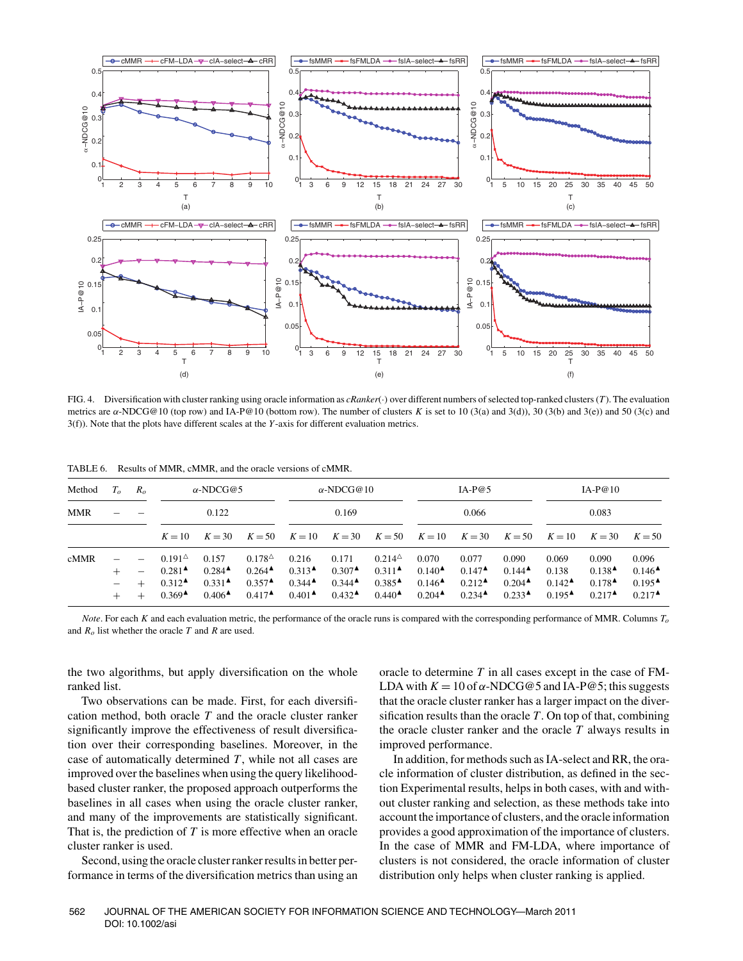

FIG. 4. Diversification with cluster ranking using oracle information as *cRanker*(·*)* over different numbers of selected top-ranked clusters (*T* ). The evaluation metrics are *α*-NDCG@10 (top row) and IA-P@10 (bottom row). The number of clusters *K* is set to 10 (3(a) and 3(d)), 30 (3(b) and 3(e)) and 50 (3(c) and 3(f)). Note that the plots have different scales at the *Y*-axis for different evaluation metrics.

| Method     | $T_{\alpha}$ | $R_{\alpha}$             |                                                                                                                                                        | $\alpha$ -NDCG@5                                                                                                       |                                                                                                                                      |                                                                                                                                   | $\alpha$ -NDCG@10                                                                                |                                                                                                                |                                                                                                                        | $IA-P@5$                                                                                              |                                                                                                  | $IA-P@10$                                                                                                |                                                                                                                        |                                                                                                                        |  |
|------------|--------------|--------------------------|--------------------------------------------------------------------------------------------------------------------------------------------------------|------------------------------------------------------------------------------------------------------------------------|--------------------------------------------------------------------------------------------------------------------------------------|-----------------------------------------------------------------------------------------------------------------------------------|--------------------------------------------------------------------------------------------------|----------------------------------------------------------------------------------------------------------------|------------------------------------------------------------------------------------------------------------------------|-------------------------------------------------------------------------------------------------------|--------------------------------------------------------------------------------------------------|----------------------------------------------------------------------------------------------------------|------------------------------------------------------------------------------------------------------------------------|------------------------------------------------------------------------------------------------------------------------|--|
| <b>MMR</b> |              |                          |                                                                                                                                                        | 0.122                                                                                                                  |                                                                                                                                      |                                                                                                                                   | 0.169                                                                                            |                                                                                                                | 0.066                                                                                                                  |                                                                                                       |                                                                                                  |                                                                                                          | 0.083                                                                                                                  |                                                                                                                        |  |
|            |              |                          | $K = 10$                                                                                                                                               | $K = 30$                                                                                                               | $K = 50$                                                                                                                             | $K = 10$                                                                                                                          | $K = 30$                                                                                         | $K = 50$                                                                                                       | $K=10$                                                                                                                 | $K = 30$                                                                                              | $K = 50$                                                                                         | $K = 10$                                                                                                 | $K = 30$                                                                                                               | $K = 50$                                                                                                               |  |
| cMMR       |              | $\overline{\phantom{0}}$ | $0.191^{\circ}$<br>$0.281$ <sup><math>\triangle</math></sup><br>$0.312$ <sup><math>\triangle</math></sup><br>$0.369$ <sup><math>\triangle</math></sup> | 0.157<br>$0.284$ <sup><math>\triangle</math></sup><br>$0.331^{\triangle}$<br>$0.406$ <sup><math>\triangle</math></sup> | $0.178^{\triangle}$<br>$0.264$ <sup><math>\triangle</math></sup><br>$0.357^{\textstyle \triangle}$<br>$0.417^{\textstyle \triangle}$ | 0.216<br>$0.313^{\textstyle \triangle}$<br>$0.344$ <sup><math>\triangle</math></sup><br>$0.401$ <sup><math>\triangle</math></sup> | 0.171<br>$0.307^{\triangle}$<br>$0.344^{\triangle}$<br>$0.432$ <sup><math>\triangle</math></sup> | $0.214^{\circ}$<br>$0.311^{\textstyle\blacktriangle}$<br>$0.385^{\text{A}}$<br>$0.440^{\textstyle \triangle}\$ | 0.070<br>$0.140^{\textstyle \triangle}$<br>$0.146^{\textstyle \triangle}$<br>$0.204$ <sup><math>\triangle</math></sup> | 0.077<br>$0.147^{\triangle}$<br>$0.212^{\blacktriangle}$<br>$0.234$ <sup><math>\triangle</math></sup> | 0.090<br>$0.144^{\triangle}$<br>$0.204^{\triangle}$<br>$0.233$ <sup><math>\triangle</math></sup> | 0.069<br>0.138<br>$0.142$ <sup><math>\triangle</math></sup><br>$0.195$ <sup><math>\triangle</math></sup> | 0.090<br>$0.138^{\triangle}$<br>$0.178$ <sup><math>\triangle</math></sup><br>$0.217$ <sup><math>\triangle</math></sup> | 0.096<br>$0.146^{\textstyle \triangle}$<br>$0.195^{\textstyle \triangle}$<br>$0.217$ <sup><math>\triangle</math></sup> |  |

TABLE 6. Results of MMR, cMMR, and the oracle versions of cMMR.

*Note*. For each *K* and each evaluation metric, the performance of the oracle runs is compared with the corresponding performance of MMR. Columns *To* and *Ro* list whether the oracle *T* and *R* are used.

the two algorithms, but apply diversification on the whole ranked list.

Two observations can be made. First, for each diversification method, both oracle *T* and the oracle cluster ranker significantly improve the effectiveness of result diversification over their corresponding baselines. Moreover, in the case of automatically determined  $T$ , while not all cases are improved over the baselines when using the query likelihoodbased cluster ranker, the proposed approach outperforms the baselines in all cases when using the oracle cluster ranker, and many of the improvements are statistically significant. That is, the prediction of *T* is more effective when an oracle cluster ranker is used.

Second, using the oracle cluster ranker results in better performance in terms of the diversification metrics than using an oracle to determine *T* in all cases except in the case of FM-LDA with  $K = 10$  of  $\alpha$ -NDCG@5 and IA-P@5; this suggests that the oracle cluster ranker has a larger impact on the diversification results than the oracle *T* . On top of that, combining the oracle cluster ranker and the oracle *T* always results in improved performance.

In addition, for methods such as IA-select and RR, the oracle information of cluster distribution, as defined in the section Experimental results, helps in both cases, with and without cluster ranking and selection, as these methods take into account the importance of clusters, and the oracle information provides a good approximation of the importance of clusters. In the case of MMR and FM-LDA, where importance of clusters is not considered, the oracle information of cluster distribution only helps when cluster ranking is applied.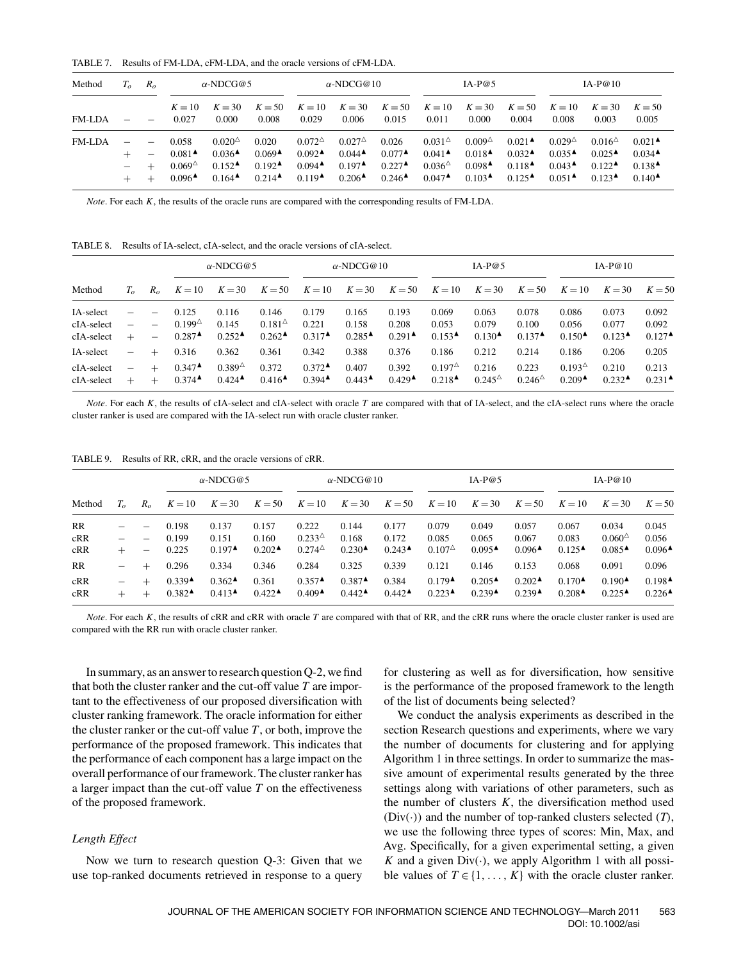TABLE 7. Results of FM-LDA, cFM-LDA, and the oracle versions of cFM-LDA.

| Method        | $T_{\alpha}$ | $R_{\alpha}$                                       |                                                                                                                     | $\alpha$ -NDCG@5                                                                                                                                       |                                                                                                                                              |                                                                                                                                      | $\alpha$ -NDCG@10                                                                                         |                                                                                                             |                                                                                              | $IA-P@5$                                                                                                         |                                                                                                                                      |                                                                                                                                  | $IA-P@10$                                                                                                                                   |                                                                                                                                                                       |
|---------------|--------------|----------------------------------------------------|---------------------------------------------------------------------------------------------------------------------|--------------------------------------------------------------------------------------------------------------------------------------------------------|----------------------------------------------------------------------------------------------------------------------------------------------|--------------------------------------------------------------------------------------------------------------------------------------|-----------------------------------------------------------------------------------------------------------|-------------------------------------------------------------------------------------------------------------|----------------------------------------------------------------------------------------------|------------------------------------------------------------------------------------------------------------------|--------------------------------------------------------------------------------------------------------------------------------------|----------------------------------------------------------------------------------------------------------------------------------|---------------------------------------------------------------------------------------------------------------------------------------------|-----------------------------------------------------------------------------------------------------------------------------------------------------------------------|
| <b>FM-LDA</b> |              |                                                    | $K = 10$<br>0.027                                                                                                   | $K = 30$<br>0.000                                                                                                                                      | $K = 50$<br>0.008                                                                                                                            | $K = 10$<br>0.029                                                                                                                    | $K = 30$<br>0.006                                                                                         | $K = 50$<br>0.015                                                                                           | $K = 10$<br>0.011                                                                            | $K = 30$<br>0.000                                                                                                | $K = 50$<br>0.004                                                                                                                    | $K = 10$<br>0.008                                                                                                                | $K = 30$<br>0.003                                                                                                                           | $K = 50$<br>0.005                                                                                                                                                     |
| <b>FM-LDA</b> |              | $\qquad \qquad \longleftarrow$<br>$^{+}$<br>$\div$ | 0.058<br>$0.081$ <sup><math>\triangle</math></sup><br>$0.069^{\Delta}$<br>$0.096$ <sup><math>\triangle</math></sup> | $0.020^{\circ}$<br>$0.036$ <sup><math>\triangle</math></sup><br>$0.152$ <sup><math>\triangle</math></sup><br>$0.164$ <sup><math>\triangle</math></sup> | 0.020<br>$0.069$ <sup><math>\triangle</math></sup><br>$0.192$ <sup><math>\triangle</math></sup><br>$0.214$ <sup><math>\triangle</math></sup> | $0.072^{\triangle}$<br>$0.092$ <sup><math>\triangle</math></sup><br>$0.094$ <sup><math>\triangle</math></sup><br>$0.119^{\triangle}$ | $0.027^{\circ}$<br>$0.044$ <sup><math>\triangle</math></sup><br>$0.197^{\triangle}$<br>$0.206^{\text{A}}$ | 0.026<br>$0.077^{\textstyle \triangle}$<br>$0.227$ <sup><math>\triangle</math></sup><br>$0.246^{\triangle}$ | $0.031^{\circ}$<br>$0.041^{\textstyle \triangle}$<br>$0.036^{\Delta}$<br>$0.047^{\triangle}$ | $0.009^{\Delta}$<br>$0.018^{\blacktriangle}$<br>$0.098^{\textstyle \triangle}$<br>$0.103^{\textstyle \triangle}$ | $0.021^{\textstyle \triangle}$<br>$0.032^{\textstyle \triangle}$<br>$0.118^{\textstyle \triangle}$<br>$0.125^{\textstyle \triangle}$ | $0.029^{\circ}$<br>$0.035^{\textstyle \triangle}$<br>$0.043$ <sup><math>\triangle</math></sup><br>$0.051^{\textstyle \triangle}$ | $0.016^{\circ}$<br>$0.025^{\textstyle \triangle}$<br>$0.122$ <sup><math>\triangle</math></sup><br>$0.123$ <sup><math>\triangle</math></sup> | $0.021$ <sup><math>\triangle</math></sup><br>$0.034$ <sup><math>\triangle</math></sup><br>$0.138$ <sup><math>\triangle</math></sup><br>$0.140^{\textstyle \triangle}$ |

*Note*. For each *K*, the results of the oracle runs are compared with the corresponding results of FM-LDA.

TABLE 8. Results of IA-select, cIA-select, and the oracle versions of cIA-select.

|                          |                          |                                    |                                                                  | $\alpha$ -NDCG@5                                                 |                                                                           |                                                                  | $\alpha$ -NDCG@10                                           |                                                    |                                                             | IA-P@5                               |                              | $IA-P@10$                                                        |                                                    |                                                             |
|--------------------------|--------------------------|------------------------------------|------------------------------------------------------------------|------------------------------------------------------------------|---------------------------------------------------------------------------|------------------------------------------------------------------|-------------------------------------------------------------|----------------------------------------------------|-------------------------------------------------------------|--------------------------------------|------------------------------|------------------------------------------------------------------|----------------------------------------------------|-------------------------------------------------------------|
| Method                   | $T_{\alpha}$             | $R_{\alpha}$                       | $K = 10$                                                         | $K = 30$                                                         | $K = 50$                                                                  | $K = 10$                                                         | $K = 30$                                                    | $K = 50$                                           | $K = 10$                                                    | $K = 30$                             | $K = 50$                     | $K = 10$                                                         | $K = 30$                                           | $K = 50$                                                    |
| IA-select<br>cIA-select  | $\qquad \qquad -$        | -                                  | 0.125<br>$0.199^{\triangle}$<br>$0.287^{\textstyle \triangle}$   | 0.116<br>0.145<br>$0.252$ <sup><math>\triangle</math></sup>      | 0.146<br>$0.181^{\triangle}$<br>$0.262$ <sup><math>\triangle</math></sup> | 0.179<br>0.221<br>$0.317^{\triangle}$                            | 0.165<br>0.158<br>$0.285$ <sup><math>\triangle</math></sup> | 0.193<br>0.208                                     | 0.069<br>0.053<br>$0.153$ <sup><math>\triangle</math></sup> | 0.063<br>0.079<br>$0.130^{\text{A}}$ | 0.078<br>0.100               | 0.086<br>0.056<br>$0.150^{\text{A}}$                             | 0.073<br>0.077                                     | 0.092<br>0.092<br>$0.127$ <sup><math>\triangle</math></sup> |
| cIA-select<br>IA-select  | $\qquad \qquad -$        | $\overline{\phantom{m}}$<br>$^{+}$ | 0.316                                                            | 0.362                                                            | 0.361                                                                     | 0.342                                                            | 0.388                                                       | $0.291$ <sup><math>\triangle</math></sup><br>0.376 | 0.186                                                       | 0.212                                | $0.137^{\triangle}$<br>0.214 | 0.186                                                            | $0.123$ <sup><math>\triangle</math></sup><br>0.206 | 0.205                                                       |
| cIA-select<br>cIA-select | $\overline{\phantom{0}}$ | $^{+}$<br>$^{+}$                   | $0.347^{\triangle}$<br>$0.374$ <sup><math>\triangle</math></sup> | $0.389^{\triangle}$<br>$0.424$ <sup><math>\triangle</math></sup> | 0.372<br>$0.416^{\textstyle \triangle}\$                                  | $0.372$ <sup><math>\triangle</math></sup><br>$0.394^{\triangle}$ | 0.407<br>$0.443$ <sup><math>\triangle</math></sup>          | 0.392<br>$0.429$ <sup><math>\triangle</math></sup> | $0.197^{\triangle}$<br>$0.218^{\triangle}$                  | 0.216<br>$0.245^{\triangle}$         | 0.223<br>$0.246^{\circ}$     | $0.193^{\triangle}$<br>$0.209$ <sup><math>\triangle</math></sup> | 0.210<br>$0.232$ <sup><math>\triangle</math></sup> | 0.213<br>$0.231$ <sup><math>\triangle</math></sup>          |

*Note*. For each *K*, the results of cIA-select and cIA-select with oracle *T* are compared with that of IA-select, and the cIA-select runs where the oracle cluster ranker is used are compared with the IA-select run with oracle cluster ranker.

|  | TABLE 9. Results of RR, cRR, and the oracle versions of cRR. |  |  |  |  |  |  |
|--|--------------------------------------------------------------|--|--|--|--|--|--|
|--|--------------------------------------------------------------|--|--|--|--|--|--|

|                         |                                            |              | $\alpha$ -NDCG@5                                                          |                                                                           |                                                             |                                                                           | $\alpha$ -NDCG@10                                                                               |                                                             |                                                                                                 | $IA-P@5$                                           |                                                                           |                                                                           | $IA-P@10$                                                     |                                                                                                 |  |
|-------------------------|--------------------------------------------|--------------|---------------------------------------------------------------------------|---------------------------------------------------------------------------|-------------------------------------------------------------|---------------------------------------------------------------------------|-------------------------------------------------------------------------------------------------|-------------------------------------------------------------|-------------------------------------------------------------------------------------------------|----------------------------------------------------|---------------------------------------------------------------------------|---------------------------------------------------------------------------|---------------------------------------------------------------|-------------------------------------------------------------------------------------------------|--|
| Method                  | $T_{\alpha}$                               | $R_{\alpha}$ | $K = 10$                                                                  | $K = 30$                                                                  | $K = 50$                                                    | $K=10$                                                                    | $K = 30$                                                                                        | $K = 50$                                                    | $K = 10$                                                                                        | $K = 30$                                           | $K = 50$                                                                  | $K = 10$                                                                  | $K = 30$                                                      | $K = 50$                                                                                        |  |
| <b>RR</b><br>cRR<br>cRR | —<br>$^+$                                  | —<br>—       | 0.198<br>0.199<br>0.225                                                   | 0.137<br>0.151<br>$0.197^{\triangle}$                                     | 0.157<br>0.160<br>$0.202$ <sup><math>\triangle</math></sup> | 0.222<br>$0.233^{\triangle}$<br>$0.274^{\triangle}$                       | 0.144<br>0.168<br>$0.230^{\textstyle \triangle}\$                                               | 0.177<br>0.172<br>$0.243$ <sup><math>\triangle</math></sup> | 0.079<br>0.085<br>$0.107^{\triangle}$                                                           | 0.049<br>0.065<br>$0.095^{\textstyle \triangle}$   | 0.057<br>0.067<br>$0.096$ <sup><math>\triangle</math></sup>               | 0.067<br>0.083<br>$0.125$ <sup><math>\triangle</math></sup>               | 0.034<br>$0.060^{\Delta}$<br>$0.085^{\textstyle \triangle}$   | 0.045<br>0.056<br>$0.096$ <sup><math>\triangle</math></sup>                                     |  |
| <b>RR</b><br>cRR<br>cRR | —<br>$\qquad \qquad \longleftarrow$<br>$+$ |              | 0.296<br>$0.339$ <sup><math>\triangle</math></sup><br>$0.382^{\triangle}$ | 0.334<br>$0.362$ <sup><math>\triangle</math></sup><br>$0.413^{\triangle}$ | 0.346<br>0.361<br>$0.422$ <sup><math>\triangle</math></sup> | 0.284<br>$0.357$ <sup><math>\triangle</math></sup><br>$0.409^{\triangle}$ | 0.325<br>$0.387$ <sup><math>\triangle</math></sup><br>$0.442$ <sup><math>\triangle</math></sup> | 0.339<br>0.384<br>$0.442$ <sup><math>\triangle</math></sup> | 0.121<br>$0.179$ <sup><math>\triangle</math></sup><br>$0.223$ <sup><math>\triangle</math></sup> | 0.146<br>$0.205^{\text{A}}$<br>$0.239^{\triangle}$ | 0.153<br>$0.202$ <sup><math>\triangle</math></sup><br>$0.239^{\triangle}$ | 0.068<br>$0.170$ <sup><math>\triangle</math></sup><br>$0.208^{\triangle}$ | 0.091<br>$0.190^{\text{A}}$<br>$0.225^{\textstyle \triangle}$ | 0.096<br>$0.198$ <sup><math>\triangle</math></sup><br>$0.226$ <sup><math>\triangle</math></sup> |  |

*Note*. For each *K*, the results of cRR and cRR with oracle *T* are compared with that of RR, and the cRR runs where the oracle cluster ranker is used are compared with the RR run with oracle cluster ranker.

In summary, as an answer to research question Q-2, we find that both the cluster ranker and the cut-off value *T* are important to the effectiveness of our proposed diversification with cluster ranking framework. The oracle information for either the cluster ranker or the cut-off value *T* , or both, improve the performance of the proposed framework. This indicates that the performance of each component has a large impact on the overall performance of our framework. The cluster ranker has a larger impact than the cut-off value *T* on the effectiveness of the proposed framework.

# *Length Effect*

Now we turn to research question Q-3: Given that we use top-ranked documents retrieved in response to a query for clustering as well as for diversification, how sensitive is the performance of the proposed framework to the length of the list of documents being selected?

We conduct the analysis experiments as described in the section Research questions and experiments, where we vary the number of documents for clustering and for applying Algorithm 1 in three settings. In order to summarize the massive amount of experimental results generated by the three settings along with variations of other parameters, such as the number of clusters  $K$ , the diversification method used (Div(·*))* and the number of top-ranked clusters selected (*T)*, we use the following three types of scores: Min, Max, and Avg. Specifically, for a given experimental setting, a given *K* and a given  $Div(\cdot)$ , we apply Algorithm 1 with all possible values of  $T \in \{1, ..., K\}$  with the oracle cluster ranker.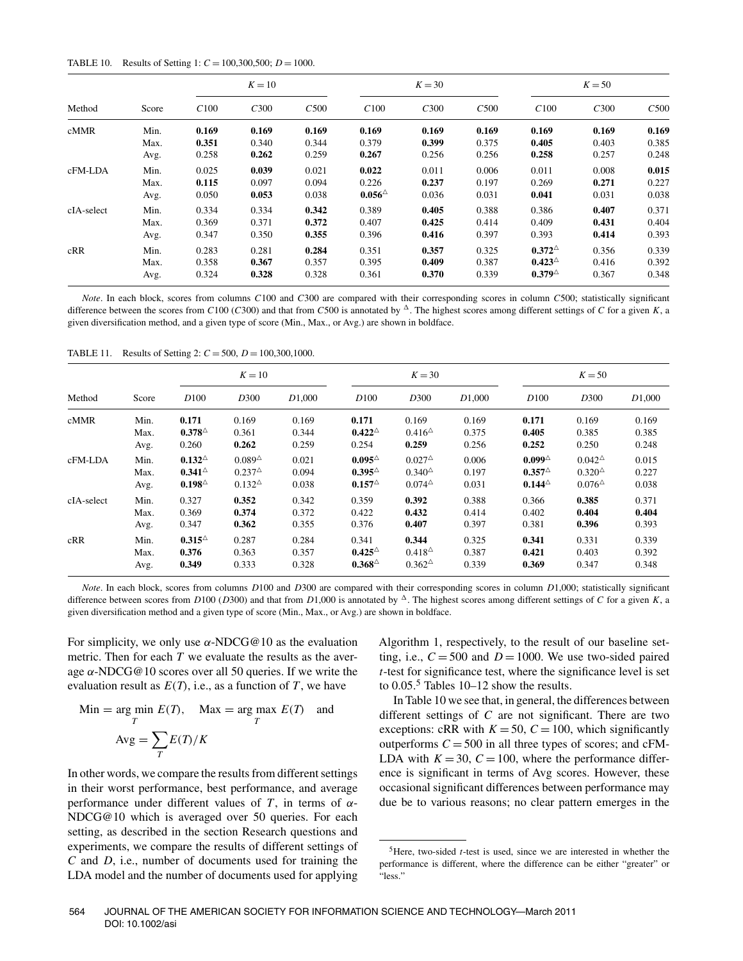TABLE 10. Results of Setting 1:  $C = 100,300,500; D = 1000$ .

|            |       |       | $K=10$           |       |                     | $K = 30$ |       |                     | $K = 50$         |       |
|------------|-------|-------|------------------|-------|---------------------|----------|-------|---------------------|------------------|-------|
| Method     | Score | C100  | C <sub>300</sub> | C500  | C100                | C300     | C500  | C100                | C <sub>300</sub> | C500  |
| cMMR       | Min.  | 0.169 | 0.169            | 0.169 | 0.169               | 0.169    | 0.169 | 0.169               | 0.169            | 0.169 |
|            | Max.  | 0.351 | 0.340            | 0.344 | 0.379               | 0.399    | 0.375 | 0.405               | 0.403            | 0.385 |
|            | Avg.  | 0.258 | 0.262            | 0.259 | 0.267               | 0.256    | 0.256 | 0.258               | 0.257            | 0.248 |
| cFM-LDA    | Min.  | 0.025 | 0.039            | 0.021 | 0.022               | 0.011    | 0.006 | 0.011               | 0.008            | 0.015 |
|            | Max.  | 0.115 | 0.097            | 0.094 | 0.226               | 0.237    | 0.197 | 0.269               | 0.271            | 0.227 |
|            | Avg.  | 0.050 | 0.053            | 0.038 | $0.056^{\triangle}$ | 0.036    | 0.031 | 0.041               | 0.031            | 0.038 |
| cIA-select | Min.  | 0.334 | 0.334            | 0.342 | 0.389               | 0.405    | 0.388 | 0.386               | 0.407            | 0.371 |
|            | Max.  | 0.369 | 0.371            | 0.372 | 0.407               | 0.425    | 0.414 | 0.409               | 0.431            | 0.404 |
|            | Avg.  | 0.347 | 0.350            | 0.355 | 0.396               | 0.416    | 0.397 | 0.393               | 0.414            | 0.393 |
| cRR        | Min.  | 0.283 | 0.281            | 0.284 | 0.351               | 0.357    | 0.325 | $0.372^{\triangle}$ | 0.356            | 0.339 |
|            | Max.  | 0.358 | 0.367            | 0.357 | 0.395               | 0.409    | 0.387 | $0.423^{\triangle}$ | 0.416            | 0.392 |
|            | Avg.  | 0.324 | 0.328            | 0.328 | 0.361               | 0.370    | 0.339 | $0.379^{\triangle}$ | 0.367            | 0.348 |

*Note*. In each block, scores from columns *C*100 and *C*300 are compared with their corresponding scores in column *C*500; statistically significant difference between the scores from  $C100$  ( $C300$ ) and that from  $C500$  is annotated by  $^{\Delta}$ . The highest scores among different settings of *C* for a given *K*, a given diversification method, and a given type of score (Min., Max., or Avg.) are shown in boldface.

TABLE 11. Results of Setting 2: *C* = 500, *D* = 100,300,1000.

| Method     | Score | $K=10$              |                     |                     | $K = 30$            |                     |                     | $K = 50$            |                     |                     |
|------------|-------|---------------------|---------------------|---------------------|---------------------|---------------------|---------------------|---------------------|---------------------|---------------------|
|            |       | D <sub>100</sub>    | D300                | D <sub>1</sub> ,000 | D <sub>100</sub>    | D <sub>300</sub>    | D <sub>1</sub> ,000 | D <sub>100</sub>    | D300                | D <sub>1</sub> ,000 |
| cMMR       | Min.  | 0.171               | 0.169               | 0.169               | 0.171               | 0.169               | 0.169               | 0.171               | 0.169               | 0.169               |
|            | Max.  | $0.378^{\triangle}$ | 0.361               | 0.344               | $0.422^{\triangle}$ | $0.416^{\triangle}$ | 0.375               | 0.405               | 0.385               | 0.385               |
|            | Avg.  | 0.260               | 0.262               | 0.259               | 0.254               | 0.259               | 0.256               | 0.252               | 0.250               | 0.248               |
| cFM-LDA    | Min.  | $0.132^{\triangle}$ | $0.089^{\triangle}$ | 0.021               | $0.095^{\triangle}$ | $0.027^{\triangle}$ | 0.006               | $0.099^{\triangle}$ | $0.042^{\triangle}$ | 0.015               |
|            | Max.  | $0.341^{\triangle}$ | $0.237\triangle$    | 0.094               | $0.395^{\triangle}$ | $0.340^{\triangle}$ | 0.197               | $0.357^{\triangle}$ | $0.320^{\Delta}$    | 0.227               |
|            | Avg.  | $0.198^{\triangle}$ | $0.132^{\triangle}$ | 0.038               | $0.157^{\triangle}$ | $0.074^{\triangle}$ | 0.031               | $0.144^{\triangle}$ | $0.076^{\triangle}$ | 0.038               |
| cIA-select | Min.  | 0.327               | 0.352               | 0.342               | 0.359               | 0.392               | 0.388               | 0.366               | 0.385               | 0.371               |
|            | Max.  | 0.369               | 0.374               | 0.372               | 0.422               | 0.432               | 0.414               | 0.402               | 0.404               | 0.404               |
|            | Avg.  | 0.347               | 0.362               | 0.355               | 0.376               | 0.407               | 0.397               | 0.381               | 0.396               | 0.393               |
| cRR        | Min.  | $0.315^{\triangle}$ | 0.287               | 0.284               | 0.341               | 0.344               | 0.325               | 0.341               | 0.331               | 0.339               |
|            | Max.  | 0.376               | 0.363               | 0.357               | $0.425^{\triangle}$ | $0.418^{\triangle}$ | 0.387               | 0.421               | 0.403               | 0.392               |
|            | Avg.  | 0.349               | 0.333               | 0.328               | $0.368^{\triangle}$ | $0.362^{\triangle}$ | 0.339               | 0.369               | 0.347               | 0.348               |

*Note*. In each block, scores from columns *D*100 and *D*300 are compared with their corresponding scores in column *D*1,000; statistically significant difference between scores from *D*100 (*D*300) and that from *D*1,000 is annotated by  $^{\Delta}$ . The highest scores among different settings of *C* for a given *K*, a given diversification method and a given type of score (Min., Max., or Avg.) are shown in boldface.

For simplicity, we only use *α*-NDCG@10 as the evaluation metric. Then for each *T* we evaluate the results as the average *α*-NDCG@10 scores over all 50 queries. If we write the evaluation result as  $E(T)$ , i.e., as a function of T, we have

Min = arg min E(T), Max = arg max E(T) and  
\n
$$
Avg = \sum_{T} E(T)/K
$$

In other words, we compare the results from different settings in their worst performance, best performance, and average performance under different values of  $T$ , in terms of  $\alpha$ -NDCG@10 which is averaged over 50 queries. For each setting, as described in the section Research questions and experiments, we compare the results of different settings of *C* and *D*, i.e., number of documents used for training the LDA model and the number of documents used for applying Algorithm 1, respectively, to the result of our baseline setting, i.e.,  $C = 500$  and  $D = 1000$ . We use two-sided paired *t*-test for significance test, where the significance level is set to  $0.05<sup>5</sup>$  Tables 10–12 show the results.

In Table 10 we see that, in general, the differences between different settings of *C* are not significant. There are two exceptions: cRR with  $K = 50$ ,  $C = 100$ , which significantly outperforms  $C = 500$  in all three types of scores; and cFM-LDA with  $K = 30$ ,  $C = 100$ , where the performance difference is significant in terms of Avg scores. However, these occasional significant differences between performance may due be to various reasons; no clear pattern emerges in the

<sup>5</sup>Here, two-sided *t*-test is used, since we are interested in whether the performance is different, where the difference can be either "greater" or "less."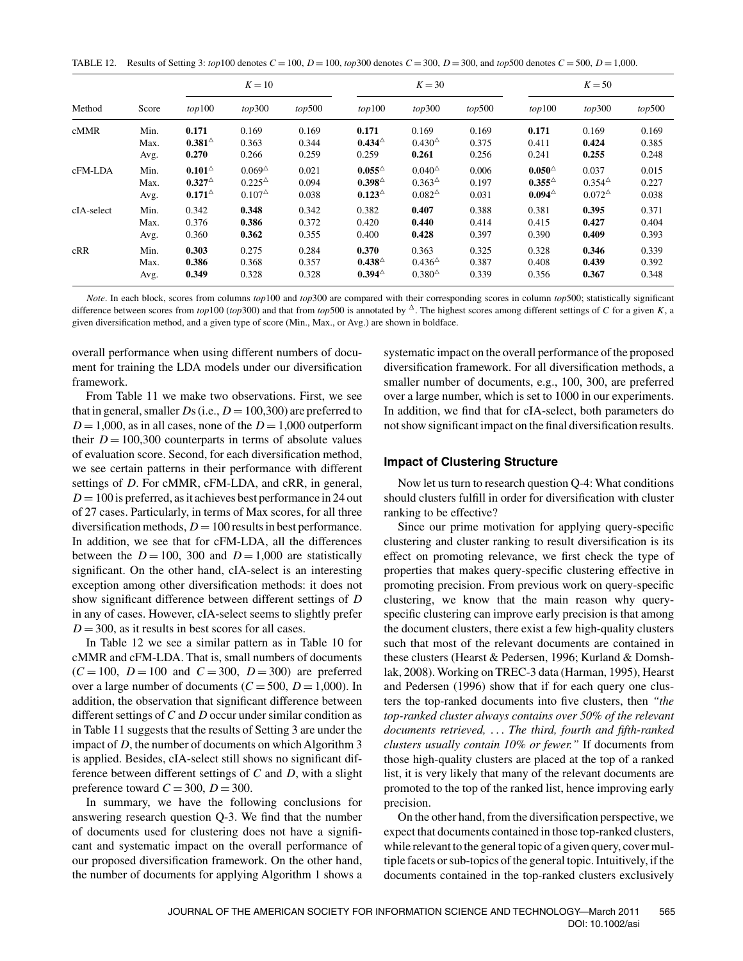TABLE 12. Results of Setting 3: *top*100 denotes  $C = 100$ ,  $D = 100$ , *top*300 denotes  $C = 300$ ,  $D = 300$ , and *top*500 denotes  $C = 500$ ,  $D = 1,000$ .

| Method     | Score | $K = 10$            |                     |        | $K = 30$            |                     |        | $K = 50$            |                     |        |
|------------|-------|---------------------|---------------------|--------|---------------------|---------------------|--------|---------------------|---------------------|--------|
|            |       | top100              | top300              | top500 | top100              | top300              | top500 | top100              | top300              | top500 |
| cMMR       | Min.  | 0.171               | 0.169               | 0.169  | 0.171               | 0.169               | 0.169  | 0.171               | 0.169               | 0.169  |
|            | Max.  | $0.381^{\triangle}$ | 0.363               | 0.344  | $0.434^{\triangle}$ | $0.430^{\Delta}$    | 0.375  | 0.411               | 0.424               | 0.385  |
|            | Avg.  | 0.270               | 0.266               | 0.259  | 0.259               | 0.261               | 0.256  | 0.241               | 0.255               | 0.248  |
| cFM-LDA    | Min.  | $0.101^{\triangle}$ | $0.069^{\Delta}$    | 0.021  | $0.055^{\triangle}$ | $0.040^{\Delta}$    | 0.006  | $0.050^{\triangle}$ | 0.037               | 0.015  |
|            | Max.  | $0.327^{\triangle}$ | $0.225^{\triangle}$ | 0.094  | $0.398^{\triangle}$ | $0.363^{\triangle}$ | 0.197  | $0.355^{\triangle}$ | $0.354^{\triangle}$ | 0.227  |
|            | Avg.  | $0.171^{\triangle}$ | $0.107^{\triangle}$ | 0.038  | $0.123^{\triangle}$ | $0.082^{\triangle}$ | 0.031  | $0.094^{\triangle}$ | $0.072^{\triangle}$ | 0.038  |
| cIA-select | Min.  | 0.342               | 0.348               | 0.342  | 0.382               | 0.407               | 0.388  | 0.381               | 0.395               | 0.371  |
|            | Max.  | 0.376               | 0.386               | 0.372  | 0.420               | 0.440               | 0.414  | 0.415               | 0.427               | 0.404  |
|            | Avg.  | 0.360               | 0.362               | 0.355  | 0.400               | 0.428               | 0.397  | 0.390               | 0.409               | 0.393  |
| cRR        | Min.  | 0.303               | 0.275               | 0.284  | 0.370               | 0.363               | 0.325  | 0.328               | 0.346               | 0.339  |
|            | Max.  | 0.386               | 0.368               | 0.357  | $0.438^{\triangle}$ | $0.436^{\triangle}$ | 0.387  | 0.408               | 0.439               | 0.392  |
|            | Avg.  | 0.349               | 0.328               | 0.328  | $0.394^\triangle$   | $0.380^{\triangle}$ | 0.339  | 0.356               | 0.367               | 0.348  |

*Note*. In each block, scores from columns *top*100 and *top*300 are compared with their corresponding scores in column *top*500; statistically significant difference between scores from  $top100$  ( $top300$ ) and that from  $top500$  is annotated by  $^{\Delta}$ . The highest scores among different settings of *C* for a given *K*, a given diversification method, and a given type of score (Min., Max., or Avg.) are shown in boldface.

overall performance when using different numbers of document for training the LDA models under our diversification framework.

From Table 11 we make two observations. First, we see that in general, smaller  $Ds$  (i.e.,  $D = 100,300$ ) are preferred to  $D = 1,000$ , as in all cases, none of the  $D = 1,000$  outperform their  $D = 100,300$  counterparts in terms of absolute values of evaluation score. Second, for each diversification method, we see certain patterns in their performance with different settings of *D*. For cMMR, cFM-LDA, and cRR, in general,  $D = 100$  is preferred, as it achieves best performance in 24 out of 27 cases. Particularly, in terms of Max scores, for all three diversification methods,  $D = 100$  results in best performance. In addition, we see that for cFM-LDA, all the differences between the  $D = 100$ , 300 and  $D = 1,000$  are statistically significant. On the other hand, cIA-select is an interesting exception among other diversification methods: it does not show significant difference between different settings of *D* in any of cases. However, cIA-select seems to slightly prefer  $D = 300$ , as it results in best scores for all cases.

In Table 12 we see a similar pattern as in Table 10 for cMMR and cFM-LDA. That is, small numbers of documents  $(C = 100, D = 100 \text{ and } C = 300, D = 300)$  are preferred over a large number of documents ( $C = 500$ ,  $D = 1,000$ ). In addition, the observation that significant difference between different settings of *C* and *D* occur under similar condition as in Table 11 suggests that the results of Setting 3 are under the impact of *D*, the number of documents on which Algorithm 3 is applied. Besides, cIA-select still shows no significant difference between different settings of *C* and *D*, with a slight preference toward  $C = 300$ ,  $D = 300$ .

In summary, we have the following conclusions for answering research question Q-3. We find that the number of documents used for clustering does not have a significant and systematic impact on the overall performance of our proposed diversification framework. On the other hand, the number of documents for applying Algorithm 1 shows a systematic impact on the overall performance of the proposed diversification framework. For all diversification methods, a smaller number of documents, e.g., 100, 300, are preferred over a large number, which is set to 1000 in our experiments. In addition, we find that for cIA-select, both parameters do not show significant impact on the final diversification results.

## **Impact of Clustering Structure**

Now let us turn to research question Q-4: What conditions should clusters fulfill in order for diversification with cluster ranking to be effective?

Since our prime motivation for applying query-specific clustering and cluster ranking to result diversification is its effect on promoting relevance, we first check the type of properties that makes query-specific clustering effective in promoting precision. From previous work on query-specific clustering, we know that the main reason why queryspecific clustering can improve early precision is that among the document clusters, there exist a few high-quality clusters such that most of the relevant documents are contained in these clusters (Hearst & Pedersen, 1996; Kurland & Domshlak, 2008). Working on TREC-3 data (Harman, 1995), Hearst and Pedersen (1996) show that if for each query one clusters the top-ranked documents into five clusters, then *"the top-ranked cluster always contains over 50% of the relevant documents retrieved, ... The third, fourth and fifth-ranked clusters usually contain 10% or fewer."* If documents from those high-quality clusters are placed at the top of a ranked list, it is very likely that many of the relevant documents are promoted to the top of the ranked list, hence improving early precision.

On the other hand, from the diversification perspective, we expect that documents contained in those top-ranked clusters, while relevant to the general topic of a given query, cover multiple facets or sub-topics of the general topic. Intuitively, if the documents contained in the top-ranked clusters exclusively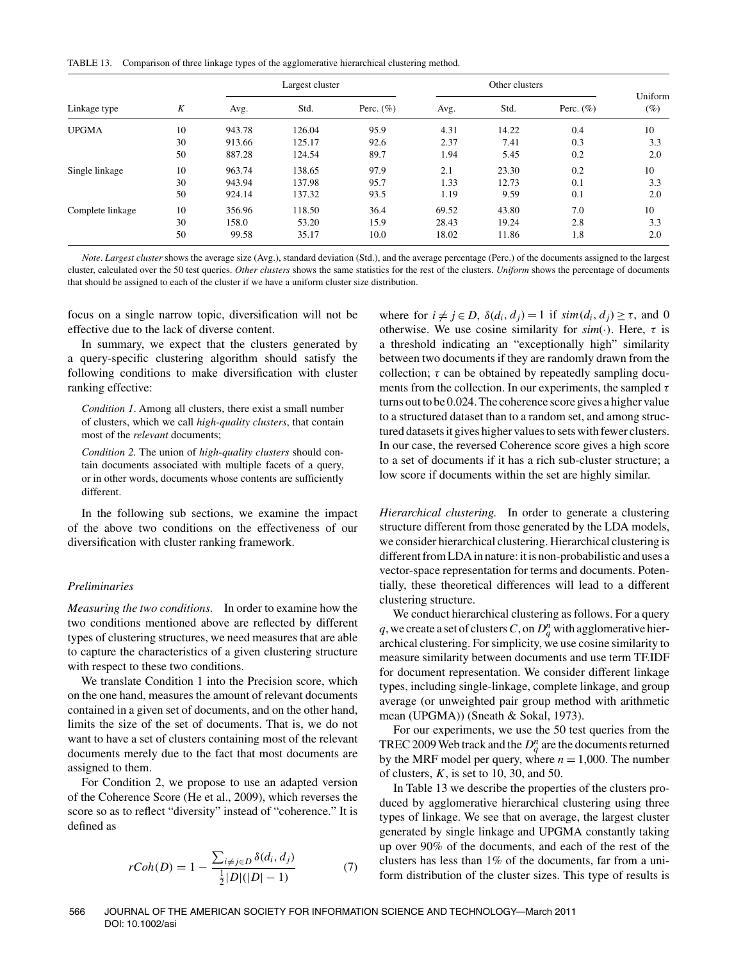TABLE 13. Comparison of three linkage types of the agglomerative hierarchical clustering method.

|                  |    | Largest cluster |        |               |       |       |               |                   |
|------------------|----|-----------------|--------|---------------|-------|-------|---------------|-------------------|
| Linkage type     | K  | Avg.            | Std.   | Perc. $(\% )$ | Avg.  | Std.  | Perc. $(\% )$ | Uniform<br>$(\%)$ |
| <b>UPGMA</b>     | 10 | 943.78          | 126.04 | 95.9          | 4.31  | 14.22 | 0.4           | 10                |
|                  | 30 | 913.66          | 125.17 | 92.6          | 2.37  | 7.41  | 0.3           | 3.3               |
|                  | 50 | 887.28          | 124.54 | 89.7          | 1.94  | 5.45  | 0.2           | 2.0               |
| Single linkage   | 10 | 963.74          | 138.65 | 97.9          | 2.1   | 23.30 | 0.2           | 10                |
|                  | 30 | 943.94          | 137.98 | 95.7          | 1.33  | 12.73 | 0.1           | 3.3               |
|                  | 50 | 924.14          | 137.32 | 93.5          | 1.19  | 9.59  | 0.1           | 2.0               |
| Complete linkage | 10 | 356.96          | 118.50 | 36.4          | 69.52 | 43.80 | 7.0           | 10                |
|                  | 30 | 158.0           | 53.20  | 15.9          | 28.43 | 19.24 | 2.8           | 3.3               |
|                  | 50 | 99.58           | 35.17  | 10.0          | 18.02 | 11.86 | 1.8           | 2.0               |

*Note*. *Largest cluster* shows the average size (Avg.), standard deviation (Std.), and the average percentage (Perc.) of the documents assigned to the largest cluster, calculated over the 50 test queries. *Other clusters* shows the same statistics for the rest of the clusters. *Uniform* shows the percentage of documents that should be assigned to each of the cluster if we have a uniform cluster size distribution.

focus on a single narrow topic, diversification will not be effective due to the lack of diverse content.

In summary, we expect that the clusters generated by a query-specific clustering algorithm should satisfy the following conditions to make diversification with cluster ranking effective:

*Condition 1*. Among all clusters, there exist a small number of clusters, which we call *high-quality clusters*, that contain most of the *relevant* documents;

*Condition 2.* The union of *high-quality clusters* should contain documents associated with multiple facets of a query, or in other words, documents whose contents are sufficiently different.

In the following sub sections, we examine the impact of the above two conditions on the effectiveness of our diversification with cluster ranking framework.

# *Preliminaries*

*Measuring the two conditions.* In order to examine how the two conditions mentioned above are reflected by different types of clustering structures, we need measures that are able to capture the characteristics of a given clustering structure with respect to these two conditions.

We translate Condition 1 into the Precision score, which on the one hand, measures the amount of relevant documents contained in a given set of documents, and on the other hand, limits the size of the set of documents. That is, we do not want to have a set of clusters containing most of the relevant documents merely due to the fact that most documents are assigned to them.

For Condition 2, we propose to use an adapted version of the Coherence Score (He et al., 2009), which reverses the score so as to reflect "diversity" instead of "coherence." It is defined as

$$
rCoh(D) = 1 - \frac{\sum_{i \neq j \in D} \delta(d_i, d_j)}{\frac{1}{2}|D|(|D| - 1)}\tag{7}
$$

where for  $i \neq j \in D$ ,  $\delta(d_i, d_j) = 1$  if  $sim(d_i, d_j) \geq \tau$ , and 0 otherwise. We use cosine similarity for  $sim(\cdot)$ . Here,  $\tau$  is a threshold indicating an "exceptionally high" similarity between two documents if they are randomly drawn from the collection;  $\tau$  can be obtained by repeatedly sampling documents from the collection. In our experiments, the sampled *τ* turns out to be 0.024. The coherence score gives a higher value to a structured dataset than to a random set, and among structured datasets it gives higher values to sets with fewer clusters. In our case, the reversed Coherence score gives a high score to a set of documents if it has a rich sub-cluster structure; a low score if documents within the set are highly similar.

*Hierarchical clustering.* In order to generate a clustering structure different from those generated by the LDA models, we consider hierarchical clustering. Hierarchical clustering is different from LDA in nature: it is non-probabilistic and uses a vector-space representation for terms and documents. Potentially, these theoretical differences will lead to a different clustering structure.

We conduct hierarchical clustering as follows. For a query *q*, we create a set of clusters *C*, on  $D_q^n$  with agglomerative hierarchical clustering. For simplicity, we use cosine similarity to measure similarity between documents and use term TF.IDF for document representation. We consider different linkage types, including single-linkage, complete linkage, and group average (or unweighted pair group method with arithmetic mean (UPGMA)) (Sneath & Sokal, 1973).

For our experiments, we use the 50 test queries from the TREC 2009 Web track and the  $D_q^n$  are the documents returned by the MRF model per query, where  $n = 1,000$ . The number of clusters, *K*, is set to 10, 30, and 50.

In Table 13 we describe the properties of the clusters produced by agglomerative hierarchical clustering using three types of linkage. We see that on average, the largest cluster generated by single linkage and UPGMA constantly taking up over 90% of the documents, and each of the rest of the clusters has less than 1% of the documents, far from a uniform distribution of the cluster sizes. This type of results is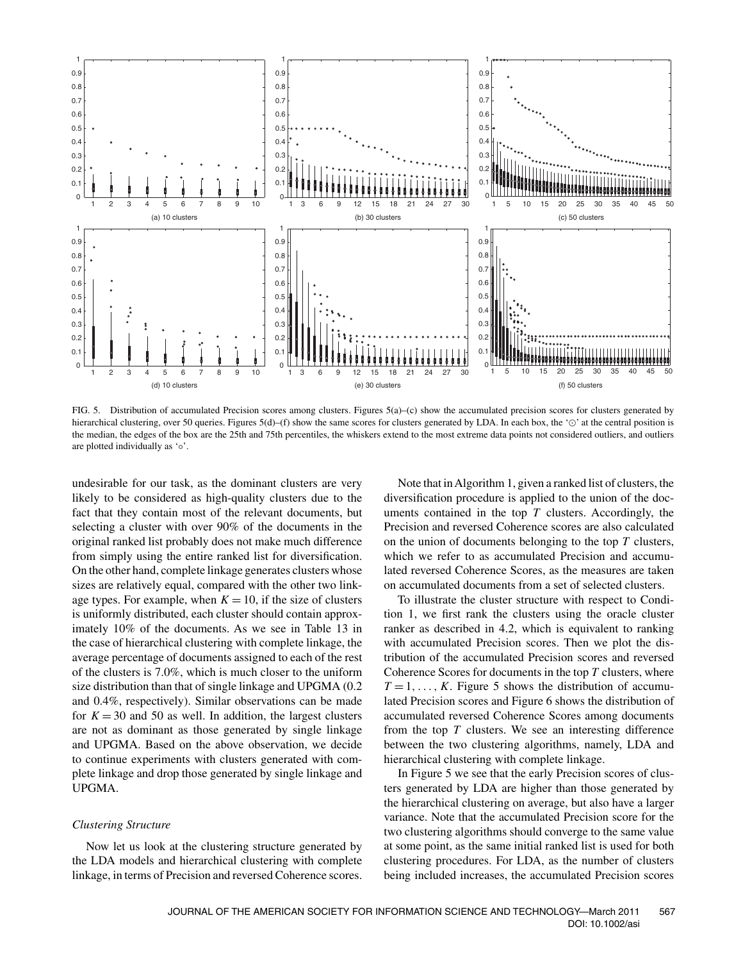

FIG. 5. Distribution of accumulated Precision scores among clusters. Figures 5(a)–(c) show the accumulated precision scores for clusters generated by hierarchical clustering, over 50 queries. Figures  $5(d)$ –(f) show the same scores for clusters generated by LDA. In each box, the ' $\odot$ ' at the central position is the median, the edges of the box are the 25th and 75th percentiles, the whiskers extend to the most extreme data points not considered outliers, and outliers are plotted individually as '◦'.

undesirable for our task, as the dominant clusters are very likely to be considered as high-quality clusters due to the fact that they contain most of the relevant documents, but selecting a cluster with over 90% of the documents in the original ranked list probably does not make much difference from simply using the entire ranked list for diversification. On the other hand, complete linkage generates clusters whose sizes are relatively equal, compared with the other two linkage types. For example, when  $K = 10$ , if the size of clusters is uniformly distributed, each cluster should contain approximately 10% of the documents. As we see in Table 13 in the case of hierarchical clustering with complete linkage, the average percentage of documents assigned to each of the rest of the clusters is 7.0%, which is much closer to the uniform size distribution than that of single linkage and UPGMA (0.2 and 0.4%, respectively). Similar observations can be made for  $K = 30$  and 50 as well. In addition, the largest clusters are not as dominant as those generated by single linkage and UPGMA. Based on the above observation, we decide to continue experiments with clusters generated with complete linkage and drop those generated by single linkage and UPGMA.

## *Clustering Structure*

Now let us look at the clustering structure generated by the LDA models and hierarchical clustering with complete linkage, in terms of Precision and reversed Coherence scores.

Note that inAlgorithm 1, given a ranked list of clusters, the diversification procedure is applied to the union of the documents contained in the top *T* clusters. Accordingly, the Precision and reversed Coherence scores are also calculated on the union of documents belonging to the top *T* clusters, which we refer to as accumulated Precision and accumulated reversed Coherence Scores, as the measures are taken on accumulated documents from a set of selected clusters.

To illustrate the cluster structure with respect to Condition 1, we first rank the clusters using the oracle cluster ranker as described in 4.2, which is equivalent to ranking with accumulated Precision scores. Then we plot the distribution of the accumulated Precision scores and reversed Coherence Scores for documents in the top *T* clusters, where  $T = 1, \ldots, K$ . Figure 5 shows the distribution of accumulated Precision scores and Figure 6 shows the distribution of accumulated reversed Coherence Scores among documents from the top *T* clusters. We see an interesting difference between the two clustering algorithms, namely, LDA and hierarchical clustering with complete linkage.

In Figure 5 we see that the early Precision scores of clusters generated by LDA are higher than those generated by the hierarchical clustering on average, but also have a larger variance. Note that the accumulated Precision score for the two clustering algorithms should converge to the same value at some point, as the same initial ranked list is used for both clustering procedures. For LDA, as the number of clusters being included increases, the accumulated Precision scores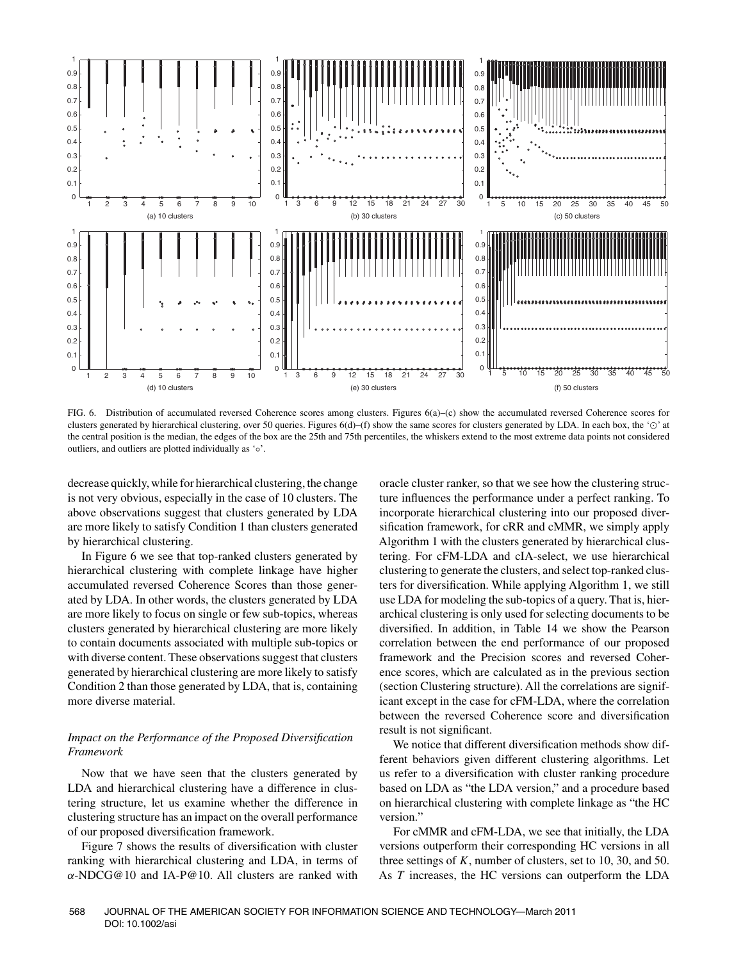

FIG. 6. Distribution of accumulated reversed Coherence scores among clusters. Figures 6(a)–(c) show the accumulated reversed Coherence scores for clusters generated by hierarchical clustering, over 50 queries. Figures  $6(d)$ –(f) show the same scores for clusters generated by LDA. In each box, the ' $\odot$ ' at the central position is the median, the edges of the box are the 25th and 75th percentiles, the whiskers extend to the most extreme data points not considered outliers, and outliers are plotted individually as '◦'.

decrease quickly, while for hierarchical clustering, the change is not very obvious, especially in the case of 10 clusters. The above observations suggest that clusters generated by LDA are more likely to satisfy Condition 1 than clusters generated by hierarchical clustering.

In Figure 6 we see that top-ranked clusters generated by hierarchical clustering with complete linkage have higher accumulated reversed Coherence Scores than those generated by LDA. In other words, the clusters generated by LDA are more likely to focus on single or few sub-topics, whereas clusters generated by hierarchical clustering are more likely to contain documents associated with multiple sub-topics or with diverse content. These observations suggest that clusters generated by hierarchical clustering are more likely to satisfy Condition 2 than those generated by LDA, that is, containing more diverse material.

# *Impact on the Performance of the Proposed Diversification Framework*

Now that we have seen that the clusters generated by LDA and hierarchical clustering have a difference in clustering structure, let us examine whether the difference in clustering structure has an impact on the overall performance of our proposed diversification framework.

Figure 7 shows the results of diversification with cluster ranking with hierarchical clustering and LDA, in terms of *α*-NDCG@10 and IA-P@10. All clusters are ranked with oracle cluster ranker, so that we see how the clustering structure influences the performance under a perfect ranking. To incorporate hierarchical clustering into our proposed diversification framework, for cRR and cMMR, we simply apply Algorithm 1 with the clusters generated by hierarchical clustering. For cFM-LDA and cIA-select, we use hierarchical clustering to generate the clusters, and select top-ranked clusters for diversification. While applying Algorithm 1, we still use LDA for modeling the sub-topics of a query. That is, hierarchical clustering is only used for selecting documents to be diversified. In addition, in Table 14 we show the Pearson correlation between the end performance of our proposed framework and the Precision scores and reversed Coherence scores, which are calculated as in the previous section (section Clustering structure). All the correlations are significant except in the case for cFM-LDA, where the correlation between the reversed Coherence score and diversification result is not significant.

We notice that different diversification methods show different behaviors given different clustering algorithms. Let us refer to a diversification with cluster ranking procedure based on LDA as "the LDA version," and a procedure based on hierarchical clustering with complete linkage as "the HC version."

For cMMR and cFM-LDA, we see that initially, the LDA versions outperform their corresponding HC versions in all three settings of *K*, number of clusters, set to 10, 30, and 50. As *T* increases, the HC versions can outperform the LDA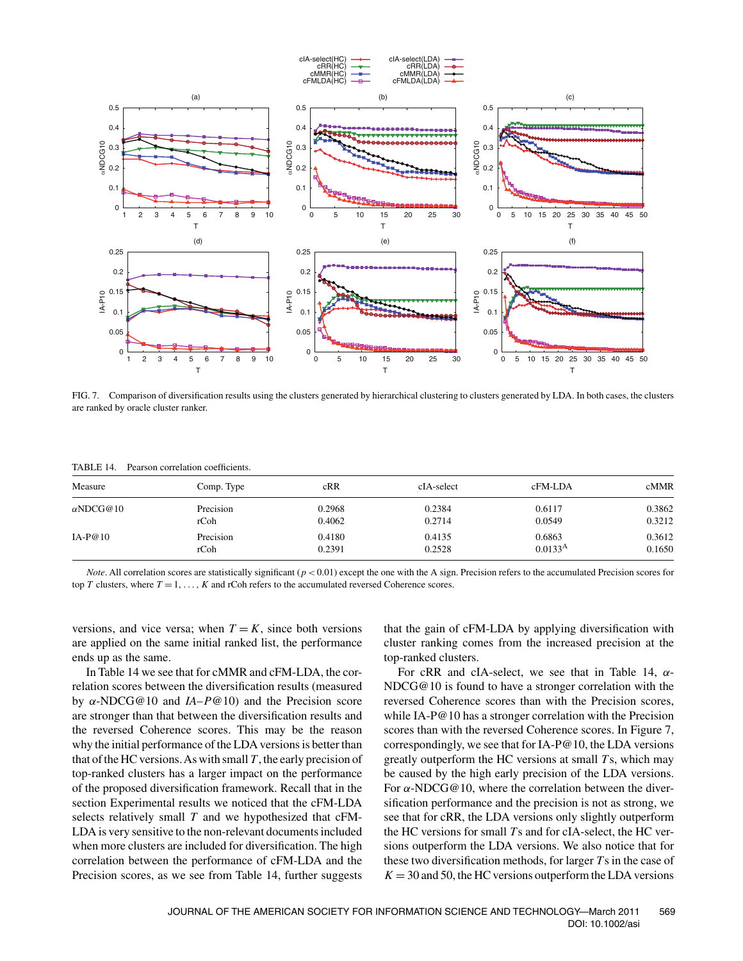

FIG. 7. Comparison of diversification results using the clusters generated by hierarchical clustering to clusters generated by LDA. In both cases, the clusters are ranked by oracle cluster ranker.

TABLE 14. Pearson correlation coefficients.

| Measure          | Comp. Type | cRR    | cIA-select | cFM-LDA             | cMMR   |
|------------------|------------|--------|------------|---------------------|--------|
| $\alpha$ NDCG@10 | Precision  | 0.2968 | 0.2384     | 0.6117              | 0.3862 |
|                  | rCoh       | 0.4062 | 0.2714     | 0.0549              | 0.3212 |
| $IA-P@10$        | Precision  | 0.4180 | 0.4135     | 0.6863              | 0.3612 |
|                  | rCoh       | 0.2391 | 0.2528     | 0.0133 <sup>A</sup> | 0.1650 |

*Note*. All correlation scores are statistically significant (*p* < 0.01) except the one with the A sign. Precision refers to the accumulated Precision scores for top *T* clusters, where  $T = 1, \ldots, K$  and rCoh refers to the accumulated reversed Coherence scores.

versions, and vice versa; when  $T = K$ , since both versions are applied on the same initial ranked list, the performance ends up as the same.

In Table 14 we see that for cMMR and cFM-LDA, the correlation scores between the diversification results (measured by *α*-NDCG@10 and *IA*–*P*@10) and the Precision score are stronger than that between the diversification results and the reversed Coherence scores. This may be the reason why the initial performance of the LDA versions is better than that of the HC versions. As with small  $T$ , the early precision of top-ranked clusters has a larger impact on the performance of the proposed diversification framework. Recall that in the section Experimental results we noticed that the cFM-LDA selects relatively small *T* and we hypothesized that cFM-LDA is very sensitive to the non-relevant documents included when more clusters are included for diversification. The high correlation between the performance of cFM-LDA and the Precision scores, as we see from Table 14, further suggests that the gain of cFM-LDA by applying diversification with cluster ranking comes from the increased precision at the top-ranked clusters.

For cRR and cIA-select, we see that in Table 14, *α*-NDCG@10 is found to have a stronger correlation with the reversed Coherence scores than with the Precision scores, while IA-P@10 has a stronger correlation with the Precision scores than with the reversed Coherence scores. In Figure 7, correspondingly, we see that for IA-P@10, the LDA versions greatly outperform the HC versions at small *T* s, which may be caused by the high early precision of the LDA versions. For *α*-NDCG@10, where the correlation between the diversification performance and the precision is not as strong, we see that for cRR, the LDA versions only slightly outperform the HC versions for small *T* s and for cIA-select, the HC versions outperform the LDA versions. We also notice that for these two diversification methods, for larger *T* s in the case of  $K = 30$  and 50, the HC versions outperform the LDA versions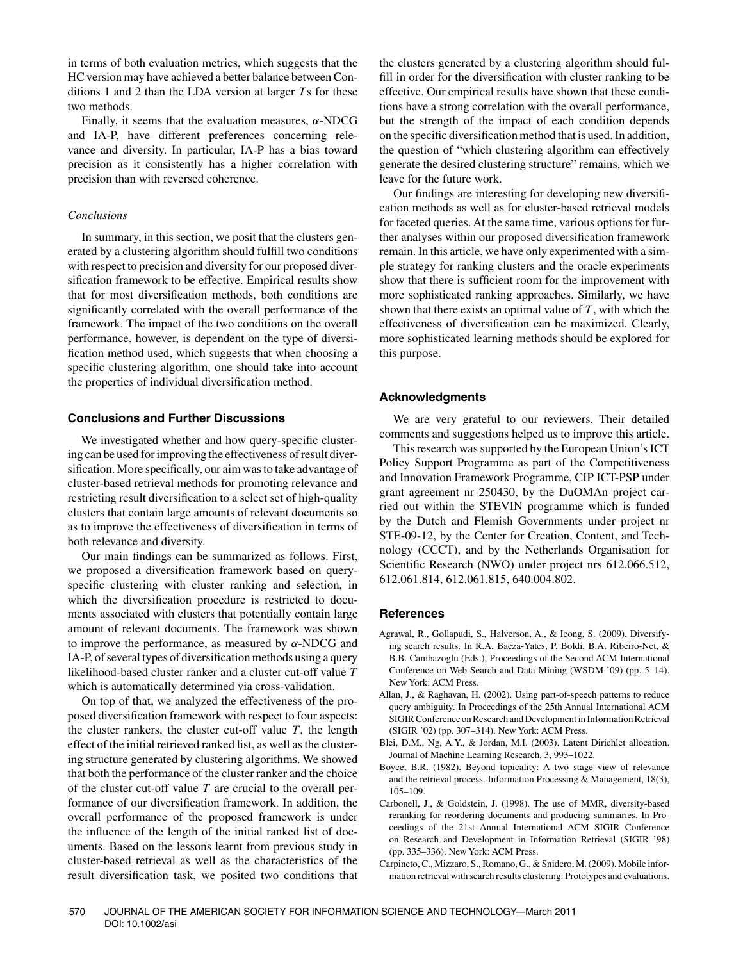in terms of both evaluation metrics, which suggests that the HC version may have achieved a better balance between Conditions 1 and 2 than the LDA version at larger *T* s for these two methods.

Finally, it seems that the evaluation measures, *α*-NDCG and IA-P, have different preferences concerning relevance and diversity. In particular, IA-P has a bias toward precision as it consistently has a higher correlation with precision than with reversed coherence.

## *Conclusions*

In summary, in this section, we posit that the clusters generated by a clustering algorithm should fulfill two conditions with respect to precision and diversity for our proposed diversification framework to be effective. Empirical results show that for most diversification methods, both conditions are significantly correlated with the overall performance of the framework. The impact of the two conditions on the overall performance, however, is dependent on the type of diversification method used, which suggests that when choosing a specific clustering algorithm, one should take into account the properties of individual diversification method.

## **Conclusions and Further Discussions**

We investigated whether and how query-specific clustering can be used for improving the effectiveness of result diversification. More specifically, our aim was to take advantage of cluster-based retrieval methods for promoting relevance and restricting result diversification to a select set of high-quality clusters that contain large amounts of relevant documents so as to improve the effectiveness of diversification in terms of both relevance and diversity.

Our main findings can be summarized as follows. First, we proposed a diversification framework based on queryspecific clustering with cluster ranking and selection, in which the diversification procedure is restricted to documents associated with clusters that potentially contain large amount of relevant documents. The framework was shown to improve the performance, as measured by *α*-NDCG and IA-P, of several types of diversification methods using a query likelihood-based cluster ranker and a cluster cut-off value *T* which is automatically determined via cross-validation.

On top of that, we analyzed the effectiveness of the proposed diversification framework with respect to four aspects: the cluster rankers, the cluster cut-off value  $T$ , the length effect of the initial retrieved ranked list, as well as the clustering structure generated by clustering algorithms. We showed that both the performance of the cluster ranker and the choice of the cluster cut-off value *T* are crucial to the overall performance of our diversification framework. In addition, the overall performance of the proposed framework is under the influence of the length of the initial ranked list of documents. Based on the lessons learnt from previous study in cluster-based retrieval as well as the characteristics of the result diversification task, we posited two conditions that the clusters generated by a clustering algorithm should fulfill in order for the diversification with cluster ranking to be effective. Our empirical results have shown that these conditions have a strong correlation with the overall performance, but the strength of the impact of each condition depends on the specific diversification method that is used. In addition, the question of "which clustering algorithm can effectively generate the desired clustering structure" remains, which we leave for the future work.

Our findings are interesting for developing new diversification methods as well as for cluster-based retrieval models for faceted queries. At the same time, various options for further analyses within our proposed diversification framework remain. In this article, we have only experimented with a simple strategy for ranking clusters and the oracle experiments show that there is sufficient room for the improvement with more sophisticated ranking approaches. Similarly, we have shown that there exists an optimal value of *T* , with which the effectiveness of diversification can be maximized. Clearly, more sophisticated learning methods should be explored for this purpose.

## **Acknowledgments**

We are very grateful to our reviewers. Their detailed comments and suggestions helped us to improve this article.

This research was supported by the European Union's ICT Policy Support Programme as part of the Competitiveness and Innovation Framework Programme, CIP ICT-PSP under grant agreement nr 250430, by the DuOMAn project carried out within the STEVIN programme which is funded by the Dutch and Flemish Governments under project nr STE-09-12, by the Center for Creation, Content, and Technology (CCCT), and by the Netherlands Organisation for Scientific Research (NWO) under project nrs 612.066.512, 612.061.814, 612.061.815, 640.004.802.

## **References**

- Agrawal, R., Gollapudi, S., Halverson, A., & Ieong, S. (2009). Diversifying search results. In R.A. Baeza-Yates, P. Boldi, B.A. Ribeiro-Net, & B.B. Cambazoglu (Eds.), Proceedings of the Second ACM International Conference on Web Search and Data Mining (WSDM '09) (pp. 5–14). New York: ACM Press.
- Allan, J., & Raghavan, H. (2002). Using part-of-speech patterns to reduce query ambiguity. In Proceedings of the 25th Annual International ACM SIGIR Conference on Research and Development in Information Retrieval (SIGIR '02) (pp. 307–314). New York: ACM Press.
- Blei, D.M., Ng, A.Y., & Jordan, M.I. (2003). Latent Dirichlet allocation. Journal of Machine Learning Research, 3, 993–1022.
- Boyce, B.R. (1982). Beyond topicality: A two stage view of relevance and the retrieval process. Information Processing & Management, 18(3), 105–109.
- Carbonell, J., & Goldstein, J. (1998). The use of MMR, diversity-based reranking for reordering documents and producing summaries. In Proceedings of the 21st Annual International ACM SIGIR Conference on Research and Development in Information Retrieval (SIGIR '98) (pp. 335–336). New York: ACM Press.
- Carpineto, C., Mizzaro, S., Romano, G., & Snidero, M. (2009). Mobile information retrieval with search results clustering: Prototypes and evaluations.